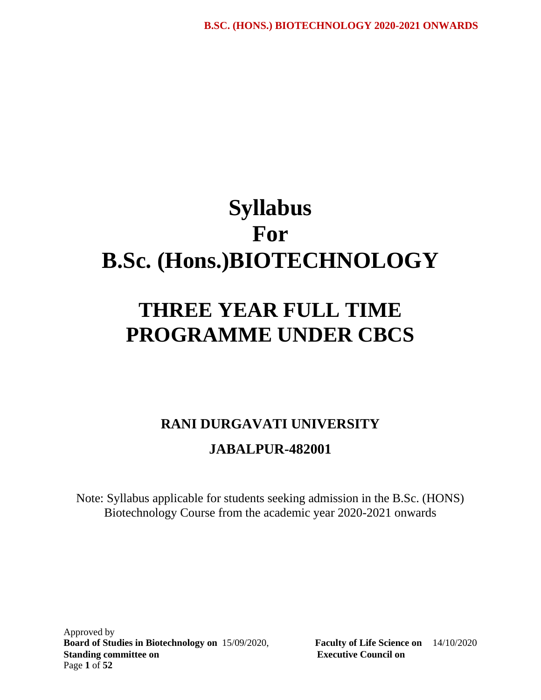# **Syllabus For B.Sc. (Hons.)BIOTECHNOLOGY**

# **THREE YEAR FULL TIME PROGRAMME UNDER CBCS**

# **RANI DURGAVATI UNIVERSITY JABALPUR-482001**

Note: Syllabus applicable for students seeking admission in the B.Sc. (HONS) Biotechnology Course from the academic year 2020-2021 onwards

Approved by **Board of Studies in Biotechnology on** 15/09/2020, **Faculty of Life Science on** 14/10/2020 **Standing committee on Executive Council on**  Page **1** of **52**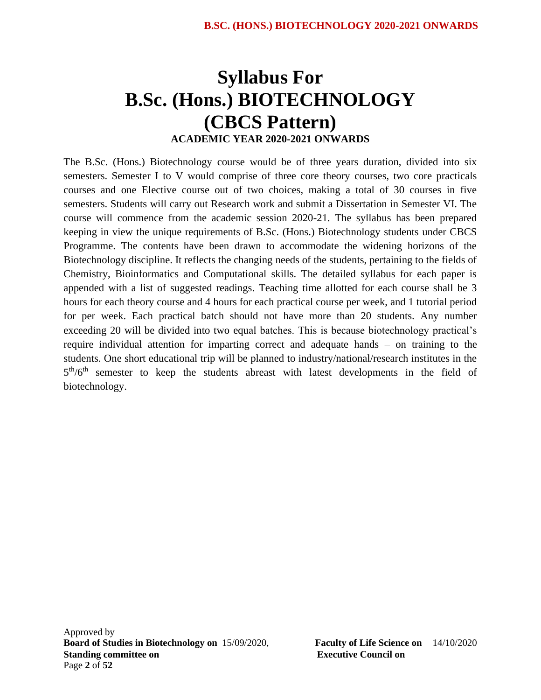# **Syllabus For B.Sc. (Hons.) BIOTECHNOLOGY (CBCS Pattern) ACADEMIC YEAR 2020-2021 ONWARDS**

The B.Sc. (Hons.) Biotechnology course would be of three years duration, divided into six semesters. Semester I to V would comprise of three core theory courses, two core practicals courses and one Elective course out of two choices, making a total of 30 courses in five semesters. Students will carry out Research work and submit a Dissertation in Semester VI. The course will commence from the academic session 2020-21. The syllabus has been prepared keeping in view the unique requirements of B.Sc. (Hons.) Biotechnology students under CBCS Programme. The contents have been drawn to accommodate the widening horizons of the Biotechnology discipline. It reflects the changing needs of the students, pertaining to the fields of Chemistry, Bioinformatics and Computational skills. The detailed syllabus for each paper is appended with a list of suggested readings. Teaching time allotted for each course shall be 3 hours for each theory course and 4 hours for each practical course per week, and 1 tutorial period for per week. Each practical batch should not have more than 20 students. Any number exceeding 20 will be divided into two equal batches. This is because biotechnology practical's require individual attention for imparting correct and adequate hands – on training to the students. One short educational trip will be planned to industry/national/research institutes in the 5<sup>th</sup>/6<sup>th</sup> semester to keep the students abreast with latest developments in the field of biotechnology.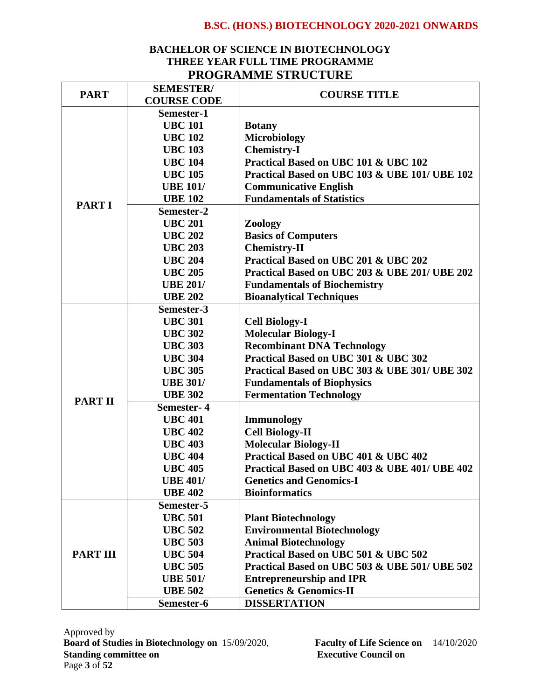# **BACHELOR OF SCIENCE IN BIOTECHNOLOGY THREE YEAR FULL TIME PROGRAMME PROGRAMME STRUCTURE**

|                 | <b>SEMESTER/</b>                          |                                               |
|-----------------|-------------------------------------------|-----------------------------------------------|
| <b>PART</b>     | <b>COURSE TITLE</b><br><b>COURSE CODE</b> |                                               |
|                 | Semester-1                                |                                               |
|                 | <b>UBC 101</b>                            | <b>Botany</b>                                 |
|                 | <b>UBC 102</b>                            | <b>Microbiology</b>                           |
|                 | <b>UBC 103</b>                            | <b>Chemistry-I</b>                            |
|                 | <b>UBC 104</b>                            | Practical Based on UBC 101 & UBC 102          |
|                 | <b>UBC 105</b>                            | Practical Based on UBC 103 & UBE 101/ UBE 102 |
|                 | <b>UBE 101/</b>                           | <b>Communicative English</b>                  |
| <b>PART I</b>   | <b>UBE 102</b>                            | <b>Fundamentals of Statistics</b>             |
|                 | Semester-2                                |                                               |
|                 | <b>UBC 201</b>                            | Zoology                                       |
|                 | <b>UBC 202</b>                            | <b>Basics of Computers</b>                    |
|                 | <b>UBC 203</b>                            | <b>Chemistry-II</b>                           |
|                 | <b>UBC 204</b>                            | Practical Based on UBC 201 & UBC 202          |
|                 | <b>UBC 205</b>                            | Practical Based on UBC 203 & UBE 201/ UBE 202 |
|                 | <b>UBE 201/</b>                           | <b>Fundamentals of Biochemistry</b>           |
|                 | <b>UBE 202</b>                            | <b>Bioanalytical Techniques</b>               |
|                 | Semester-3                                |                                               |
|                 | <b>UBC 301</b>                            | <b>Cell Biology-I</b>                         |
|                 | <b>UBC 302</b>                            | <b>Molecular Biology-I</b>                    |
|                 | <b>UBC 303</b>                            | <b>Recombinant DNA Technology</b>             |
|                 | <b>UBC 304</b>                            | Practical Based on UBC 301 & UBC 302          |
|                 | <b>UBC 305</b>                            | Practical Based on UBC 303 & UBE 301/ UBE 302 |
|                 | <b>UBE 301/</b>                           | <b>Fundamentals of Biophysics</b>             |
| <b>PART II</b>  | <b>UBE 302</b>                            | <b>Fermentation Technology</b>                |
|                 | Semester-4                                |                                               |
|                 | <b>UBC 401</b>                            | <b>Immunology</b>                             |
|                 | <b>UBC 402</b>                            | <b>Cell Biology-II</b>                        |
|                 | <b>UBC 403</b>                            | <b>Molecular Biology-II</b>                   |
|                 | <b>UBC 404</b>                            | Practical Based on UBC 401 & UBC 402          |
|                 | <b>UBC 405</b>                            | Practical Based on UBC 403 & UBE 401/ UBE 402 |
|                 | <b>UBE 401/</b>                           | <b>Genetics and Genomics-I</b>                |
|                 | <b>UBE 402</b>                            | <b>Bioinformatics</b>                         |
|                 | Semester-5                                |                                               |
|                 | <b>UBC 501</b>                            | <b>Plant Biotechnology</b>                    |
|                 | <b>UBC 502</b>                            | <b>Environmental Biotechnology</b>            |
|                 | <b>UBC 503</b>                            | <b>Animal Biotechnology</b>                   |
| <b>PART III</b> | <b>UBC 504</b>                            | Practical Based on UBC 501 & UBC 502          |
|                 | <b>UBC 505</b>                            | Practical Based on UBC 503 & UBE 501/ UBE 502 |
|                 | <b>UBE 501/</b>                           | <b>Entrepreneurship and IPR</b>               |
|                 | <b>UBE 502</b>                            | <b>Genetics &amp; Genomics-II</b>             |
|                 | Semester-6                                | <b>DISSERTATION</b>                           |

Approved by **Board of Studies in Biotechnology on** 15/09/2020, **Faculty of Life Science on** 14/10/2020 **Standing committee on Executive Council on**  Page **3** of **52**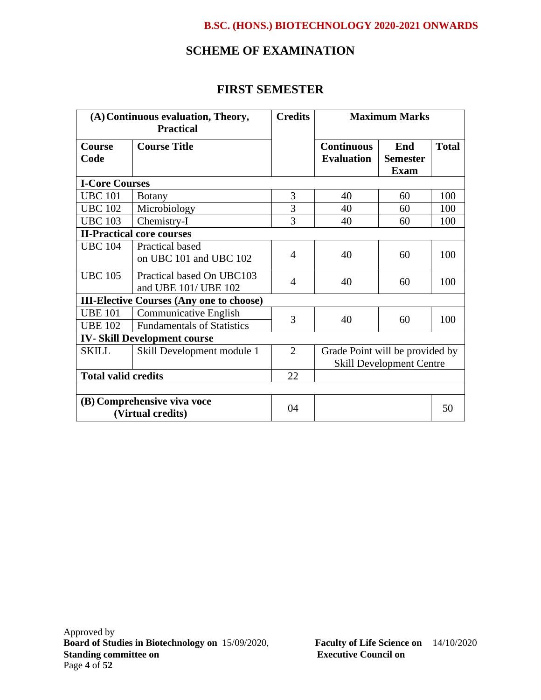# **SCHEME OF EXAMINATION**

# **FIRST SEMESTER**

| (A) Continuous evaluation, Theory,<br><b>Practical</b> |                                                   | <b>Credits</b> | <b>Maximum Marks</b>                   |                                       |              |
|--------------------------------------------------------|---------------------------------------------------|----------------|----------------------------------------|---------------------------------------|--------------|
| <b>Course</b><br>Code                                  | <b>Course Title</b>                               |                | <b>Continuous</b><br><b>Evaluation</b> | End<br><b>Semester</b><br><b>Exam</b> | <b>Total</b> |
| <b>I-Core Courses</b>                                  |                                                   |                |                                        |                                       |              |
| <b>UBC 101</b>                                         | <b>Botany</b>                                     | 3              | 40                                     | 60                                    | 100          |
| <b>UBC 102</b>                                         | Microbiology                                      | 3              | 40                                     | 60                                    | 100          |
| <b>UBC 103</b>                                         | Chemistry-I                                       | 3              | 40                                     | 60                                    | 100          |
|                                                        | <b>II-Practical core courses</b>                  |                |                                        |                                       |              |
| <b>UBC 104</b>                                         | Practical based<br>on UBC 101 and UBC 102         | 4              | 40                                     | 60                                    | 100          |
| <b>UBC 105</b>                                         | Practical based On UBC103<br>and UBE 101/ UBE 102 | $\overline{4}$ | 40                                     | 60                                    | 100          |
| <b>III-Elective Courses (Any one to choose)</b>        |                                                   |                |                                        |                                       |              |
| <b>UBE 101</b>                                         | Communicative English                             | 3              | 40                                     | 60                                    | 100          |
| <b>UBE 102</b>                                         | <b>Fundamentals of Statistics</b>                 |                |                                        |                                       |              |
| <b>IV-Skill Development course</b>                     |                                                   |                |                                        |                                       |              |
| <b>SKILL</b>                                           | Skill Development module 1                        | $\overline{2}$ | Grade Point will be provided by        |                                       |              |
|                                                        |                                                   |                | <b>Skill Development Centre</b>        |                                       |              |
| <b>Total valid credits</b>                             |                                                   | 22             |                                        |                                       |              |
|                                                        |                                                   |                |                                        |                                       |              |
| (B) Comprehensive viva voce<br>(Virtual credits)       |                                                   | 04             |                                        |                                       | 50           |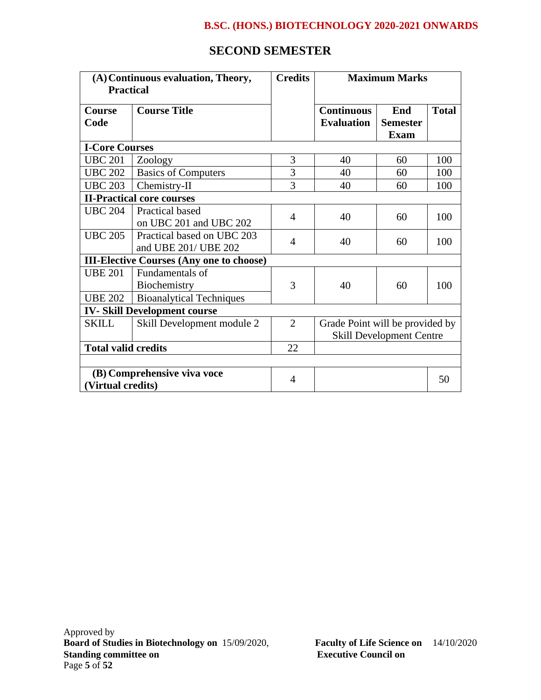# **SECOND SEMESTER**

| (A) Continuous evaluation, Theory,<br><b>Practical</b> |                                                                    | <b>Credits</b> | <b>Maximum Marks</b>                                               |                                       |              |  |
|--------------------------------------------------------|--------------------------------------------------------------------|----------------|--------------------------------------------------------------------|---------------------------------------|--------------|--|
| <b>Course</b><br>Code                                  | <b>Course Title</b>                                                |                | <b>Continuous</b><br><b>Evaluation</b>                             | End<br><b>Semester</b><br><b>Exam</b> | <b>Total</b> |  |
| <b>I-Core Courses</b>                                  |                                                                    |                |                                                                    |                                       |              |  |
| <b>UBC 201</b>                                         | Zoology                                                            | 3              | 40                                                                 | 60                                    | 100          |  |
| <b>UBC 202</b>                                         | <b>Basics of Computers</b>                                         | 3              | 40                                                                 | 60                                    | 100          |  |
| <b>UBC 203</b>                                         | Chemistry-II                                                       | 3              | 40                                                                 | 60                                    | 100          |  |
|                                                        | <b>II-Practical core courses</b>                                   |                |                                                                    |                                       |              |  |
| <b>UBC 204</b>                                         | Practical based<br>on UBC 201 and UBC 202                          | 4              | 40                                                                 | 60                                    | 100          |  |
| <b>UBC 205</b>                                         | Practical based on UBC 203<br>and UBE 201/ UBE 202                 | 4              | 40                                                                 | 60                                    | 100          |  |
| <b>III-Elective Courses (Any one to choose)</b>        |                                                                    |                |                                                                    |                                       |              |  |
| <b>UBE 201</b><br><b>UBE 202</b>                       | Fundamentals of<br>Biochemistry<br><b>Bioanalytical Techniques</b> | 3              | 40                                                                 | 60                                    | 100          |  |
|                                                        | <b>IV-Skill Development course</b>                                 |                |                                                                    |                                       |              |  |
| <b>SKILL</b>                                           | Skill Development module 2                                         | $\overline{2}$ | Grade Point will be provided by<br><b>Skill Development Centre</b> |                                       |              |  |
| <b>Total valid credits</b>                             |                                                                    | 22             |                                                                    |                                       |              |  |
|                                                        |                                                                    |                |                                                                    |                                       |              |  |
| (B) Comprehensive viva voce<br>(Virtual credits)       |                                                                    | $\overline{4}$ |                                                                    |                                       | 50           |  |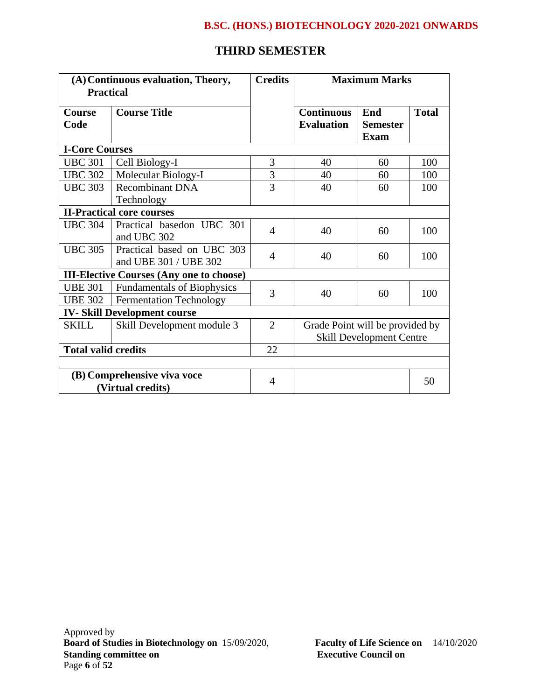# **THIRD SEMESTER**

| (A) Continuous evaluation, Theory,<br><b>Practical</b> |                                                     | <b>Credits</b> | <b>Maximum Marks</b>                                               |                                       |              |
|--------------------------------------------------------|-----------------------------------------------------|----------------|--------------------------------------------------------------------|---------------------------------------|--------------|
| <b>Course</b><br>Code                                  | <b>Course Title</b>                                 |                | <b>Continuous</b><br><b>Evaluation</b>                             | End<br><b>Semester</b><br><b>Exam</b> | <b>Total</b> |
| <b>I-Core Courses</b>                                  |                                                     |                |                                                                    |                                       |              |
| <b>UBC 301</b>                                         | Cell Biology-I                                      | 3              | 40                                                                 | 60                                    | 100          |
| <b>UBC 302</b>                                         | Molecular Biology-I                                 | 3              | 40                                                                 | 60                                    | 100          |
| <b>UBC 303</b>                                         | <b>Recombinant DNA</b><br>Technology                | $\overline{3}$ | 40                                                                 | 60                                    | 100          |
| <b>II-Practical core courses</b>                       |                                                     |                |                                                                    |                                       |              |
| <b>UBC 304</b>                                         | Practical basedon UBC 301<br>and UBC 302            | $\overline{4}$ | 40                                                                 | 60                                    | 100          |
| <b>UBC 305</b>                                         | Practical based on UBC 303<br>and UBE 301 / UBE 302 | $\overline{A}$ | 40                                                                 | 60                                    | 100          |
| <b>III-Elective Courses (Any one to choose)</b>        |                                                     |                |                                                                    |                                       |              |
| <b>UBE 301</b>                                         | <b>Fundamentals of Biophysics</b>                   | 3              | 40                                                                 | 60                                    | 100          |
| <b>UBE 302</b>                                         | <b>Fermentation Technology</b>                      |                |                                                                    |                                       |              |
| <b>IV-Skill Development course</b>                     |                                                     |                |                                                                    |                                       |              |
| <b>SKILL</b>                                           | Skill Development module 3                          | $\overline{2}$ | Grade Point will be provided by<br><b>Skill Development Centre</b> |                                       |              |
| <b>Total valid credits</b>                             |                                                     | 22             |                                                                    |                                       |              |
|                                                        |                                                     |                |                                                                    |                                       |              |
| (B) Comprehensive viva voce<br>(Virtual credits)       |                                                     | $\overline{4}$ |                                                                    |                                       | 50           |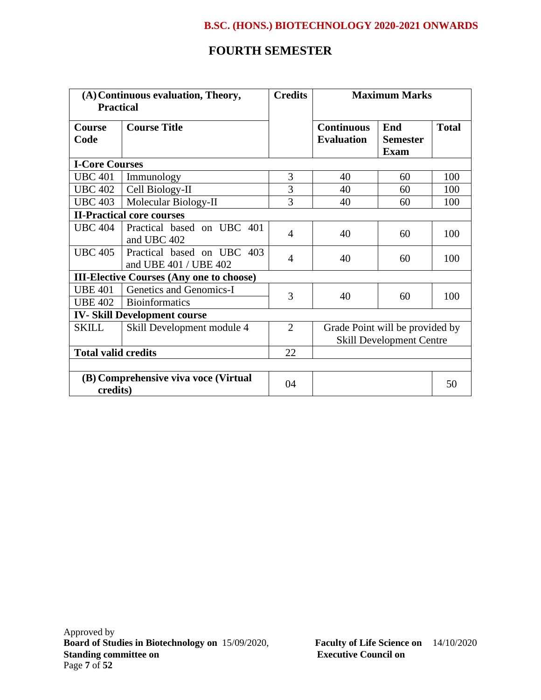# **FOURTH SEMESTER**

| (A) Continuous evaluation, Theory,<br><b>Practical</b> |                                                     | <b>Credits</b> | <b>Maximum Marks</b>                   |                                       |              |  |
|--------------------------------------------------------|-----------------------------------------------------|----------------|----------------------------------------|---------------------------------------|--------------|--|
| <b>Course</b><br>Code                                  | <b>Course Title</b>                                 |                | <b>Continuous</b><br><b>Evaluation</b> | End<br><b>Semester</b><br><b>Exam</b> | <b>Total</b> |  |
| <b>I-Core Courses</b>                                  |                                                     |                |                                        |                                       |              |  |
| <b>UBC 401</b>                                         | Immunology                                          | 3              | 40                                     | 60                                    | 100          |  |
| <b>UBC 402</b>                                         | Cell Biology-II                                     | $\overline{3}$ | 40                                     | 60                                    | 100          |  |
| <b>UBC 403</b>                                         | Molecular Biology-II                                | 3              | 40                                     | 60                                    | 100          |  |
|                                                        | <b>II-Practical core courses</b>                    |                |                                        |                                       |              |  |
| <b>UBC 404</b>                                         | Practical based on UBC 401<br>and UBC 402           | 4              | 40                                     | 60                                    | 100          |  |
| <b>UBC 405</b>                                         | Practical based on UBC 403<br>and UBE 401 / UBE 402 | 4              | 40                                     | 60                                    | 100          |  |
| <b>III-Elective Courses (Any one to choose)</b>        |                                                     |                |                                        |                                       |              |  |
| <b>UBE 401</b>                                         | Genetics and Genomics-I                             | 3              |                                        |                                       |              |  |
| <b>UBE 402</b>                                         | <b>Bioinformatics</b>                               |                | 40                                     | 60                                    | 100          |  |
| <b>IV-Skill Development course</b>                     |                                                     |                |                                        |                                       |              |  |
| <b>SKILL</b>                                           | Skill Development module 4                          | $\overline{2}$ | Grade Point will be provided by        |                                       |              |  |
|                                                        |                                                     |                | <b>Skill Development Centre</b>        |                                       |              |  |
| <b>Total valid credits</b>                             |                                                     | 22             |                                        |                                       |              |  |
|                                                        |                                                     |                |                                        |                                       |              |  |
| (B) Comprehensive viva voce (Virtual<br>credits)       |                                                     | 04             |                                        |                                       | 50           |  |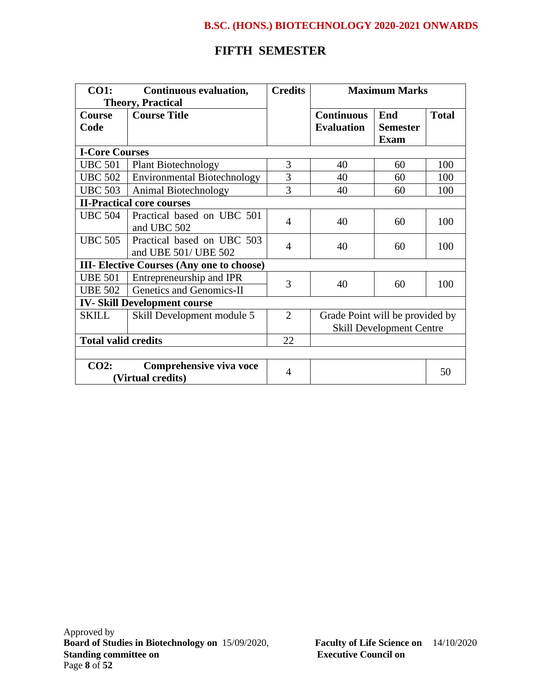# **FIFTH SEMESTER**

| <b>CO1:</b>                                      | Continuous evaluation,             | <b>Credits</b> | <b>Maximum Marks</b>            |                 |              |  |
|--------------------------------------------------|------------------------------------|----------------|---------------------------------|-----------------|--------------|--|
| <b>Theory, Practical</b>                         |                                    |                |                                 |                 |              |  |
| <b>Course</b>                                    | <b>Course Title</b>                |                | <b>Continuous</b>               | End             | <b>Total</b> |  |
| Code                                             |                                    |                | <b>Evaluation</b>               | <b>Semester</b> |              |  |
|                                                  |                                    |                |                                 | <b>Exam</b>     |              |  |
| <b>I-Core Courses</b>                            |                                    |                |                                 |                 |              |  |
| <b>UBC 501</b>                                   | <b>Plant Biotechnology</b>         | 3              | 40                              | 60              | 100          |  |
| <b>UBC 502</b>                                   | <b>Environmental Biotechnology</b> | 3              | 40                              | 60              | 100          |  |
| <b>UBC 503</b>                                   | Animal Biotechnology               | 3              | 40                              | 60              | 100          |  |
|                                                  | <b>II-Practical core courses</b>   |                |                                 |                 |              |  |
| <b>UBC 504</b>                                   | Practical based on UBC 501         | $\overline{4}$ |                                 | 60              | 100          |  |
|                                                  | and UBC 502                        |                | 40                              |                 |              |  |
| <b>UBC 505</b>                                   | Practical based on UBC 503         | $\overline{4}$ | 40                              | 60              | 100          |  |
|                                                  | and UBE 501/ UBE 502               |                |                                 |                 |              |  |
| <b>III- Elective Courses (Any one to choose)</b> |                                    |                |                                 |                 |              |  |
| <b>UBE 501</b>                                   | Entrepreneurship and IPR           | 3              |                                 |                 |              |  |
| <b>UBE 502</b>                                   | Genetics and Genomics-II           |                | 40                              | 60              | 100          |  |
| <b>IV-Skill Development course</b>               |                                    |                |                                 |                 |              |  |
| <b>SKILL</b>                                     | Skill Development module 5         | $\overline{2}$ | Grade Point will be provided by |                 |              |  |
|                                                  |                                    |                | <b>Skill Development Centre</b> |                 |              |  |
| <b>Total valid credits</b>                       |                                    | 22             |                                 |                 |              |  |
|                                                  |                                    |                |                                 |                 |              |  |
| CO2:                                             | Comprehensive viva voce            |                |                                 |                 |              |  |
| (Virtual credits)                                |                                    | $\overline{4}$ |                                 |                 | 50           |  |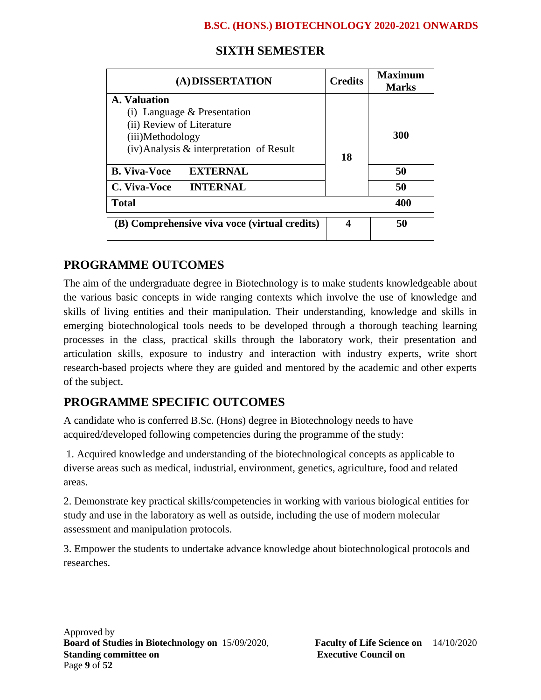| (A) DISSERTATION                              | <b>Credits</b> | Maximum<br><b>Marks</b> |  |
|-----------------------------------------------|----------------|-------------------------|--|
| A. Valuation                                  |                |                         |  |
| $(i)$ Language & Presentation                 |                |                         |  |
| (ii) Review of Literature                     |                |                         |  |
| (iii)Methodology                              |                | 300                     |  |
| $(iv)$ Analysis & interpretation of Result    | 18             |                         |  |
| <b>B.</b> Viva-Voce<br><b>EXTERNAL</b>        |                | 50                      |  |
| <b>INTERNAL</b><br>C. Viva-Voce               |                | 50                      |  |
| <b>Total</b>                                  |                | 400                     |  |
| (B) Comprehensive viva voce (virtual credits) | 4              | 50                      |  |

# **SIXTH SEMESTER**

# **PROGRAMME OUTCOMES**

The aim of the undergraduate degree in Biotechnology is to make students knowledgeable about the various basic concepts in wide ranging contexts which involve the use of knowledge and skills of living entities and their manipulation. Their understanding, knowledge and skills in emerging biotechnological tools needs to be developed through a thorough teaching learning processes in the class, practical skills through the laboratory work, their presentation and articulation skills, exposure to industry and interaction with industry experts, write short research-based projects where they are guided and mentored by the academic and other experts of the subject.

# **PROGRAMME SPECIFIC OUTCOMES**

A candidate who is conferred B.Sc. (Hons) degree in Biotechnology needs to have acquired/developed following competencies during the programme of the study:

1. Acquired knowledge and understanding of the biotechnological concepts as applicable to diverse areas such as medical, industrial, environment, genetics, agriculture, food and related areas.

2. Demonstrate key practical skills/competencies in working with various biological entities for study and use in the laboratory as well as outside, including the use of modern molecular assessment and manipulation protocols.

3. Empower the students to undertake advance knowledge about biotechnological protocols and researches.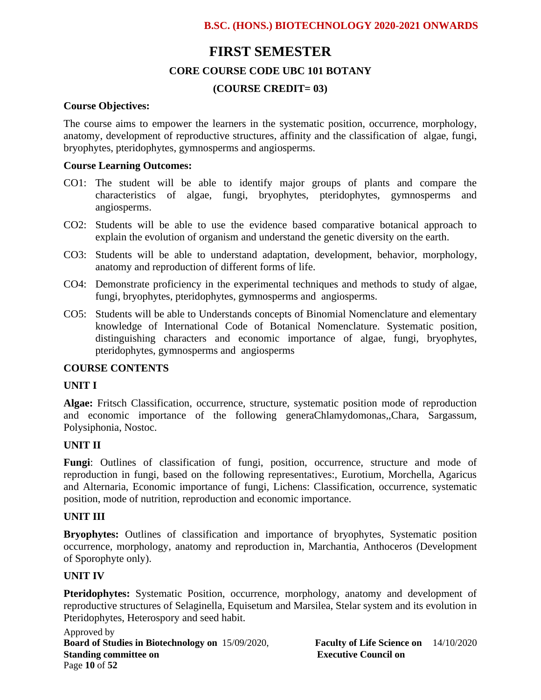# **FIRST SEMESTER**

### **CORE COURSE CODE UBC 101 BOTANY**

### **(COURSE CREDIT= 03)**

#### **Course Objectives:**

The course aims to empower the learners in the systematic position, occurrence, morphology, anatomy, development of reproductive structures, affinity and the classification of algae, fungi, bryophytes, pteridophytes, gymnosperms and angiosperms.

#### **Course Learning Outcomes:**

- CO1: The student will be able to identify major groups of plants and compare the characteristics of algae, fungi, bryophytes, pteridophytes, gymnosperms and angiosperms.
- CO2: Students will be able to use the evidence based comparative botanical approach to explain the evolution of organism and understand the genetic diversity on the earth.
- CO3: Students will be able to understand adaptation, development, behavior, morphology, anatomy and reproduction of different forms of life.
- CO4: Demonstrate proficiency in the experimental techniques and methods to study of algae, fungi, bryophytes, pteridophytes, gymnosperms and angiosperms.
- CO5: Students will be able to Understands concepts of Binomial Nomenclature and elementary knowledge of International Code of Botanical Nomenclature. Systematic position, distinguishing characters and economic importance of algae, fungi, bryophytes, pteridophytes, gymnosperms and angiosperms

### **COURSE CONTENTS**

#### **UNIT I**

**Algae:** Fritsch Classification, occurrence, structure, systematic position mode of reproduction and economic importance of the following generaChlamydomonas,,Chara, Sargassum, Polysiphonia, Nostoc.

#### **UNIT II**

**Fungi**: Outlines of classification of fungi, position, occurrence, structure and mode of reproduction in fungi, based on the following representatives:, Eurotium, Morchella, Agaricus and Alternaria, Economic importance of fungi, Lichens: Classification, occurrence, systematic position, mode of nutrition, reproduction and economic importance.

#### **UNIT III**

**Bryophytes:** Outlines of classification and importance of bryophytes, Systematic position occurrence, morphology, anatomy and reproduction in, Marchantia, Anthoceros (Development of Sporophyte only).

#### **UNIT IV**

Pteridophytes: Systematic Position, occurrence, morphology, anatomy and development of reproductive structures of Selaginella, Equisetum and Marsilea, Stelar system and its evolution in Pteridophytes, Heterospory and seed habit.

Approved by **Board of Studies in Biotechnology on** 15/09/2020, **Faculty of Life Science on** 14/10/2020 **Standing committee on Executive Council on Executive Council on** Page **10** of **52**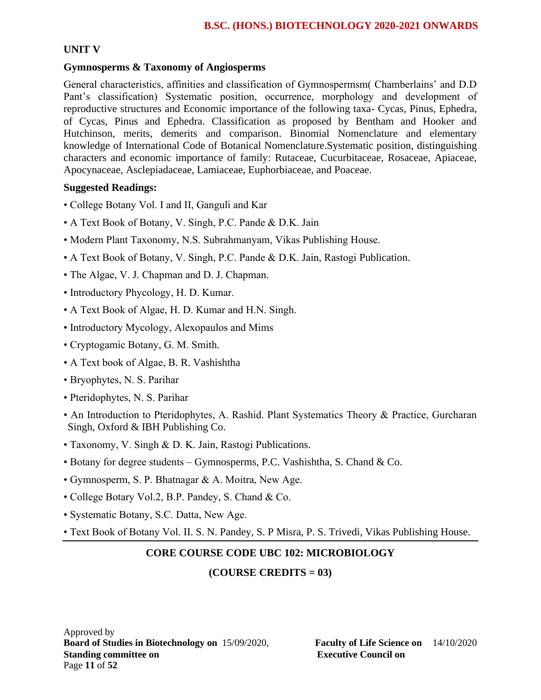# **UNIT V**

# **Gymnosperms & Taxonomy of Angiosperms**

General characteristics, affinities and classification of Gymnospermsm( Chamberlains' and D.D Pant's classification) Systematic position, occurrence, morphology and development of reproductive structures and Economic importance of the following taxa- Cycas, Pinus, Ephedra, of Cycas, Pinus and Ephedra. Classification as proposed by Bentham and Hooker and Hutchinson, merits, demerits and comparison. Binomial Nomenclature and elementary knowledge of International Code of Botanical Nomenclature.Systematic position, distinguishing characters and economic importance of family: Rutaceae, Cucurbitaceae, Rosaceae, Apiaceae, Apocynaceae, Asclepiadaceae, Lamiaceae, Euphorbiaceae, and Poaceae.

### **Suggested Readings:**

- College Botany Vol. I and II, Ganguli and Kar
- A Text Book of Botany, V. Singh, P.C. Pande & D.K. Jain
- Modern Plant Taxonomy, N.S. Subrahmanyam, Vikas Publishing House.
- A Text Book of Botany, V. Singh, P.C. Pande & D.K. Jain, Rastogi Publication.
- The Algae, V. J. Chapman and D. J. Chapman.
- Introductory Phycology, H. D. Kumar.
- A Text Book of Algae, H. D. Kumar and H.N. Singh.
- Introductory Mycology, Alexopaulos and Mims
- Cryptogamic Botany, G. M. Smith.
- A Text book of Algae, B. R. Vashishtha
- Bryophytes, N. S. Parihar
- Pteridophytes, N. S. Parihar
- An Introduction to Pteridophytes, A. Rashid. Plant Systematics Theory & Practice, Gurcharan Singh, Oxford & IBH Publishing Co.
- Taxonomy, V. Singh & D. K. Jain, Rastogi Publications.
- Botany for degree students Gymnosperms, P.C. Vashishtha, S. Chand & Co.
- Gymnosperm, S. P. Bhatnagar & A. Moitra, New Age.
- College Botary Vol.2, B.P. Pandey, S. Chand & Co.
- Systematic Botany, S.C. Datta, New Age.
- Text Book of Botany Vol. II. S. N. Pandey, S. P Misra, P. S. Trivedi, Vikas Publishing House.

# **CORE COURSE CODE UBC 102: MICROBIOLOGY**

# **(COURSE CREDITS = 03)**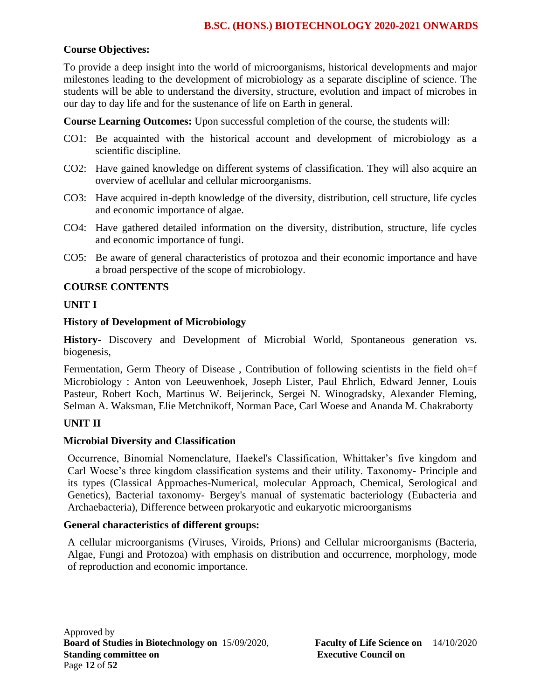# **Course Objectives:**

To provide a deep insight into the world of microorganisms, historical developments and major milestones leading to the development of microbiology as a separate discipline of science. The students will be able to understand the diversity, structure, evolution and impact of microbes in our day to day life and for the sustenance of life on Earth in general.

**Course Learning Outcomes:** Upon successful completion of the course, the students will:

- CO1: Be acquainted with the historical account and development of microbiology as a scientific discipline.
- CO2: Have gained knowledge on different systems of classification. They will also acquire an overview of acellular and cellular microorganisms.
- CO3: Have acquired in-depth knowledge of the diversity, distribution, cell structure, life cycles and economic importance of algae.
- CO4: Have gathered detailed information on the diversity, distribution, structure, life cycles and economic importance of fungi.
- CO5: Be aware of general characteristics of protozoa and their economic importance and have a broad perspective of the scope of microbiology.

### **COURSE CONTENTS**

### **UNIT I**

#### **History of Development of Microbiology**

**History-** Discovery and Development of Microbial World, Spontaneous generation vs. biogenesis,

Fermentation, Germ Theory of Disease , Contribution of following scientists in the field oh=f Microbiology : Anton von Leeuwenhoek, Joseph Lister, Paul Ehrlich, Edward Jenner, Louis Pasteur, Robert Koch, Martinus W. Beijerinck, Sergei N. Winogradsky, Alexander Fleming, Selman A. Waksman, Elie Metchnikoff, Norman Pace, Carl Woese and Ananda M. Chakraborty

# **UNIT II**

#### **Microbial Diversity and Classification**

Occurrence, Binomial Nomenclature, Haekel's Classification, Whittaker's five kingdom and Carl Woese's three kingdom classification systems and their utility. Taxonomy- Principle and its types (Classical Approaches-Numerical, molecular Approach, Chemical, Serological and Genetics), Bacterial taxonomy- Bergey's manual of systematic bacteriology (Eubacteria and Archaebacteria), Difference between prokaryotic and eukaryotic microorganisms

#### **General characteristics of different groups:**

A cellular microorganisms (Viruses, Viroids, Prions) and Cellular microorganisms (Bacteria, Algae, Fungi and Protozoa) with emphasis on distribution and occurrence, morphology, mode of reproduction and economic importance.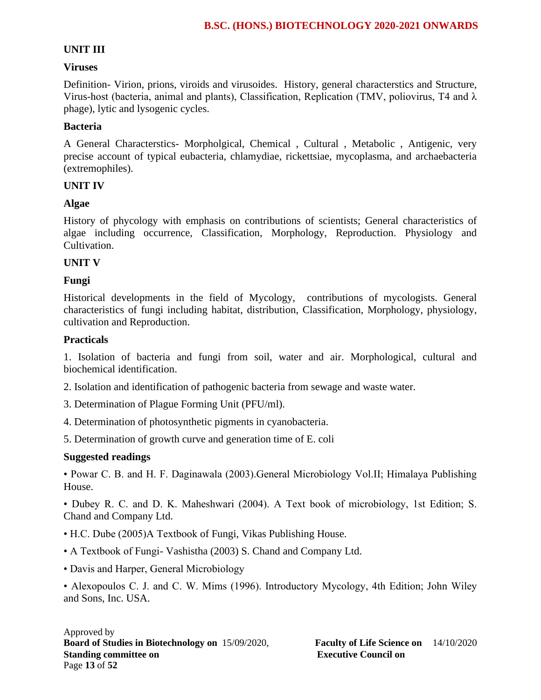# **UNIT III**

### **Viruses**

Definition- Virion, prions, viroids and virusoides. History, general characterstics and Structure, Virus-host (bacteria, animal and plants), Classification, Replication (TMV, poliovirus, T4 and λ phage), lytic and lysogenic cycles.

### **Bacteria**

A General Characterstics- Morpholgical, Chemical , Cultural , Metabolic , Antigenic, very precise account of typical eubacteria, chlamydiae, rickettsiae, mycoplasma, and archaebacteria (extremophiles).

### **UNIT IV**

# **Algae**

History of phycology with emphasis on contributions of scientists; General characteristics of algae including occurrence, Classification, Morphology, Reproduction. Physiology and Cultivation.

### **UNIT V**

# **Fungi**

Historical developments in the field of Mycology, contributions of mycologists. General characteristics of fungi including habitat, distribution, Classification, Morphology, physiology, cultivation and Reproduction.

### **Practicals**

1. Isolation of bacteria and fungi from soil, water and air. Morphological, cultural and biochemical identification.

2. Isolation and identification of pathogenic bacteria from sewage and waste water.

- 3. Determination of Plague Forming Unit (PFU/ml).
- 4. Determination of photosynthetic pigments in cyanobacteria.
- 5. Determination of growth curve and generation time of E. coli

# **Suggested readings**

• Powar C. B. and H. F. Daginawala (2003).General Microbiology Vol.II; Himalaya Publishing House.

• Dubey R. C. and D. K. Maheshwari (2004). A Text book of microbiology, 1st Edition; S. Chand and Company Ltd.

- H.C. Dube (2005)A Textbook of Fungi, Vikas Publishing House.
- A Textbook of Fungi- Vashistha (2003) S. Chand and Company Ltd.
- Davis and Harper, General Microbiology

• Alexopoulos C. J. and C. W. Mims (1996). Introductory Mycology, 4th Edition; John Wiley and Sons, Inc. USA.

#### Approved by **Board of Studies in Biotechnology on** 15/09/2020, **Faculty of Life Science on** 14/10/2020 **Standing committee on** <br>**Executive Council on Executive Council on** Page **13** of **52**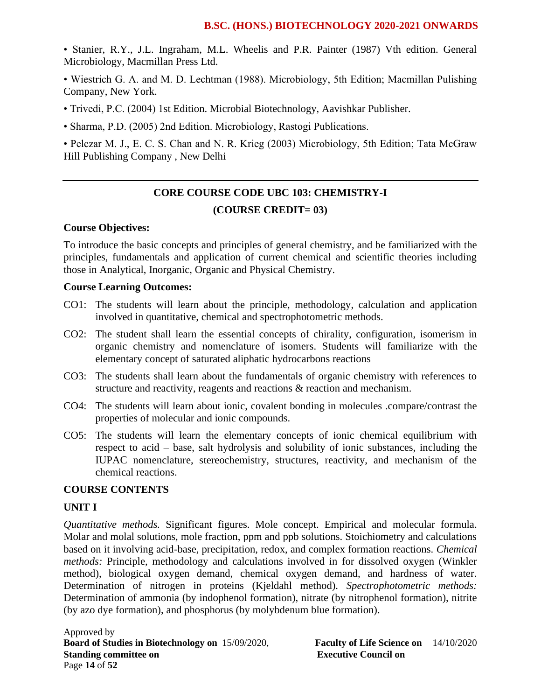• Stanier, R.Y., J.L. Ingraham, M.L. Wheelis and P.R. Painter (1987) Vth edition. General Microbiology, Macmillan Press Ltd.

• Wiestrich G. A. and M. D. Lechtman (1988). Microbiology, 5th Edition; Macmillan Pulishing Company, New York.

- Trivedi, P.C. (2004) 1st Edition. Microbial Biotechnology, Aavishkar Publisher.
- Sharma, P.D. (2005) 2nd Edition. Microbiology, Rastogi Publications.

• Pelczar M. J., E. C. S. Chan and N. R. Krieg (2003) Microbiology, 5th Edition; Tata McGraw Hill Publishing Company , New Delhi

# **CORE COURSE CODE UBC 103: CHEMISTRY-I (COURSE CREDIT= 03)**

### **Course Objectives:**

To introduce the basic concepts and principles of general chemistry, and be familiarized with the principles, fundamentals and application of current chemical and scientific theories including those in Analytical, Inorganic, Organic and Physical Chemistry.

#### **Course Learning Outcomes:**

- CO1: The students will learn about the principle, methodology, calculation and application involved in quantitative, chemical and spectrophotometric methods.
- CO2: The student shall learn the essential concepts of chirality, configuration, isomerism in organic chemistry and nomenclature of isomers. Students will familiarize with the elementary concept of saturated aliphatic hydrocarbons reactions
- CO3: The students shall learn about the fundamentals of organic chemistry with references to structure and reactivity, reagents and reactions & reaction and mechanism.
- CO4: The students will learn about ionic, covalent bonding in molecules .compare/contrast the properties of molecular and ionic compounds.
- CO5: The students will learn the elementary concepts of ionic chemical equilibrium with respect to acid – base, salt hydrolysis and solubility of ionic substances, including the IUPAC nomenclature, stereochemistry, structures, reactivity, and mechanism of the chemical reactions.

#### **COURSE CONTENTS**

#### **UNIT I**

*Quantitative methods.* Significant figures. Mole concept. Empirical and molecular formula. Molar and molal solutions, mole fraction, ppm and ppb solutions. Stoichiometry and calculations based on it involving acid-base, precipitation, redox, and complex formation reactions. *Chemical methods:* Principle, methodology and calculations involved in for dissolved oxygen (Winkler method), biological oxygen demand, chemical oxygen demand, and hardness of water. Determination of nitrogen in proteins (Kjeldahl method). *Spectrophotometric methods:* Determination of ammonia (by indophenol formation), nitrate (by nitrophenol formation), nitrite (by azo dye formation), and phosphorus (by molybdenum blue formation).

Approved by **Board of Studies in Biotechnology on** 15/09/2020, **Faculty of Life Science on** 14/10/2020 **Standing committee on Executive Council on Executive Council on** Page **14** of **52**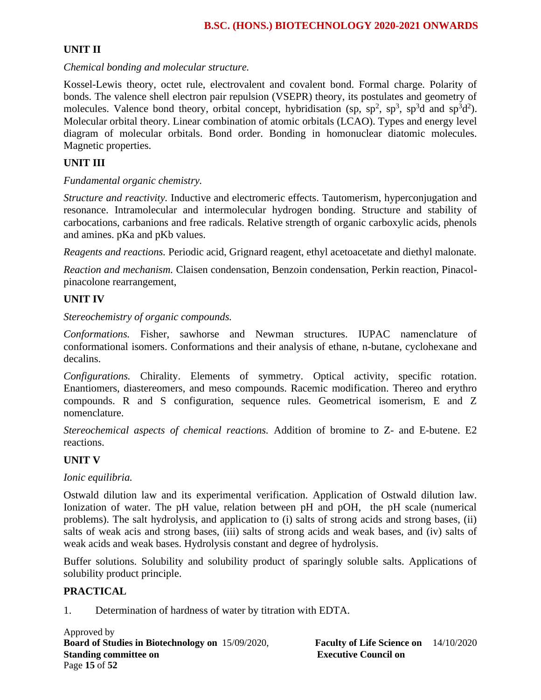# **UNIT II**

*Chemical bonding and molecular structure.*

Kossel-Lewis theory, octet rule, electrovalent and covalent bond. Formal charge. Polarity of bonds. The valence shell electron pair repulsion (VSEPR) theory, its postulates and geometry of molecules. Valence bond theory, orbital concept, hybridisation (sp,  $sp^2$ ,  $sp^3$ ,  $sp^3d$  and  $sp^3d^2$ ). Molecular orbital theory. Linear combination of atomic orbitals (LCAO). Types and energy level diagram of molecular orbitals. Bond order. Bonding in homonuclear diatomic molecules. Magnetic properties.

# **UNIT III**

# *Fundamental organic chemistry.*

*Structure and reactivity.* Inductive and electromeric effects. Tautomerism, hyperconjugation and resonance. Intramolecular and intermolecular hydrogen bonding. Structure and stability of carbocations, carbanions and free radicals. Relative strength of organic carboxylic acids, phenols and amines. pKa and pKb values.

*Reagents and reactions.* Periodic acid, Grignard reagent, ethyl acetoacetate and diethyl malonate.

*Reaction and mechanism.* Claisen condensation, Benzoin condensation, Perkin reaction, Pinacolpinacolone rearrangement,

# **UNIT IV**

### *Stereochemistry of organic compounds.*

*Conformations.* Fisher, sawhorse and Newman structures. IUPAC namenclature of conformational isomers. Conformations and their analysis of ethane, n-butane, cyclohexane and decalins.

*Configurations.* Chirality. Elements of symmetry. Optical activity, specific rotation. Enantiomers, diastereomers, and meso compounds. Racemic modification. Thereo and erythro compounds. R and S configuration, sequence rules. Geometrical isomerism, E and Z nomenclature.

*Stereochemical aspects of chemical reactions.* Addition of bromine to Z- and E-butene. E2 reactions.

# **UNIT V**

# *Ionic equilibria.*

Ostwald dilution law and its experimental verification. Application of Ostwald dilution law. Ionization of water. The pH value, relation between pH and pOH, the pH scale (numerical problems). The salt hydrolysis, and application to (i) salts of strong acids and strong bases, (ii) salts of weak acis and strong bases, (iii) salts of strong acids and weak bases, and (iv) salts of weak acids and weak bases. Hydrolysis constant and degree of hydrolysis.

Buffer solutions. Solubility and solubility product of sparingly soluble salts. Applications of solubility product principle.

# **PRACTICAL**

1. Determination of hardness of water by titration with EDTA.

Approved by **Board of Studies in Biotechnology on** 15/09/2020, **Faculty of Life Science on** 14/10/2020 **Standing committee on Executive Council on Executive Council on** Page **15** of **52**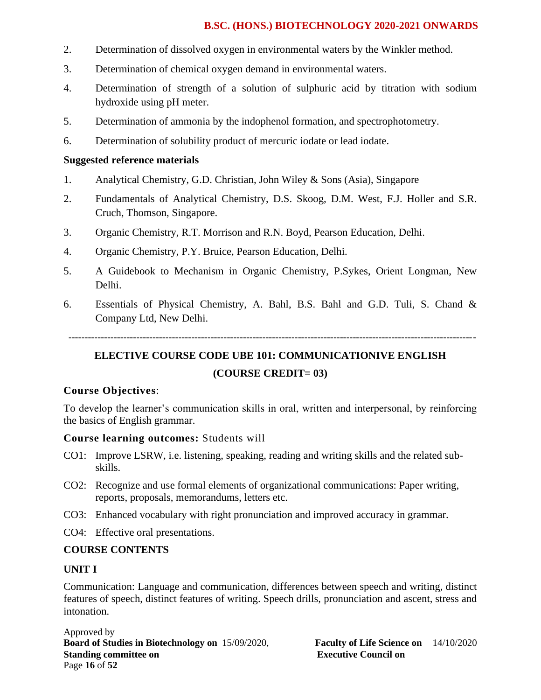- 2. Determination of dissolved oxygen in environmental waters by the Winkler method.
- 3. Determination of chemical oxygen demand in environmental waters.
- 4. Determination of strength of a solution of sulphuric acid by titration with sodium hydroxide using pH meter.
- 5. Determination of ammonia by the indophenol formation, and spectrophotometry.
- 6. Determination of solubility product of mercuric iodate or lead iodate.

# **Suggested reference materials**

- 1. Analytical Chemistry, G.D. Christian, John Wiley & Sons (Asia), Singapore
- 2. Fundamentals of Analytical Chemistry, D.S. Skoog, D.M. West, F.J. Holler and S.R. Cruch, Thomson, Singapore.
- 3. Organic Chemistry, R.T. Morrison and R.N. Boyd, Pearson Education, Delhi.
- 4. Organic Chemistry, P.Y. Bruice, Pearson Education, Delhi.
- 5. A Guidebook to Mechanism in Organic Chemistry, P.Sykes, Orient Longman, New Delhi.
- 6. Essentials of Physical Chemistry, A. Bahl, B.S. Bahl and G.D. Tuli, S. Chand & Company Ltd, New Delhi.

 **------------------------------------------------------------------------------------------------------------------------------**

# **ELECTIVE COURSE CODE UBE 101: COMMUNICATIONIVE ENGLISH (COURSE CREDIT= 03)**

# **Course Objectives**:

To develop the learner's communication skills in oral, written and interpersonal, by reinforcing the basics of English grammar.

# **Course learning outcomes:** Students will

- CO1: Improve LSRW, i.e. listening, speaking, reading and writing skills and the related subskills.
- CO2: Recognize and use formal elements of organizational communications: Paper writing, reports, proposals, memorandums, letters etc.
- CO3: Enhanced vocabulary with right pronunciation and improved accuracy in grammar.
- CO4: Effective oral presentations.

# **COURSE CONTENTS**

# **UNIT I**

Communication: Language and communication, differences between speech and writing, distinct features of speech, distinct features of writing. Speech drills, pronunciation and ascent, stress and intonation.

Approved by **Board of Studies in Biotechnology on** 15/09/2020, **Faculty of Life Science on** 14/10/2020 **Standing committee on Executive Council on Executive Council on** Page **16** of **52**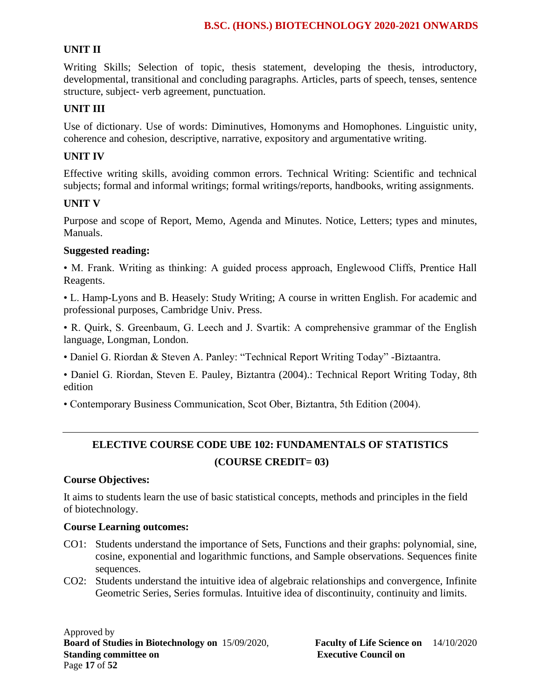# **UNIT II**

Writing Skills; Selection of topic, thesis statement, developing the thesis, introductory, developmental, transitional and concluding paragraphs. Articles, parts of speech, tenses, sentence structure, subject- verb agreement, punctuation.

# **UNIT III**

Use of dictionary. Use of words: Diminutives, Homonyms and Homophones. Linguistic unity, coherence and cohesion, descriptive, narrative, expository and argumentative writing.

# **UNIT IV**

Effective writing skills, avoiding common errors. Technical Writing: Scientific and technical subjects; formal and informal writings; formal writings/reports, handbooks, writing assignments.

# **UNIT V**

Purpose and scope of Report, Memo, Agenda and Minutes. Notice, Letters; types and minutes, Manuals.

# **Suggested reading:**

• M. Frank. Writing as thinking: A guided process approach, Englewood Cliffs, Prentice Hall Reagents.

• L. Hamp-Lyons and B. Heasely: Study Writing; A course in written English. For academic and professional purposes, Cambridge Univ. Press.

• R. Quirk, S. Greenbaum, G. Leech and J. Svartik: A comprehensive grammar of the English language, Longman, London.

• Daniel G. Riordan & Steven A. Panley: "Technical Report Writing Today" -Biztaantra.

• Daniel G. Riordan, Steven E. Pauley, Biztantra (2004).: Technical Report Writing Today, 8th edition

• Contemporary Business Communication, Scot Ober, Biztantra, 5th Edition (2004).

# **ELECTIVE COURSE CODE UBE 102: FUNDAMENTALS OF STATISTICS (COURSE CREDIT= 03)**

# **Course Objectives:**

It aims to students learn the use of basic statistical concepts, methods and principles in the field of biotechnology.

#### **Course Learning outcomes:**

- CO1: Students understand the importance of Sets, Functions and their graphs: polynomial, sine, cosine, exponential and logarithmic functions, and Sample observations. Sequences finite sequences.
- CO2: Students understand the intuitive idea of algebraic relationships and convergence, Infinite Geometric Series, Series formulas. Intuitive idea of discontinuity, continuity and limits.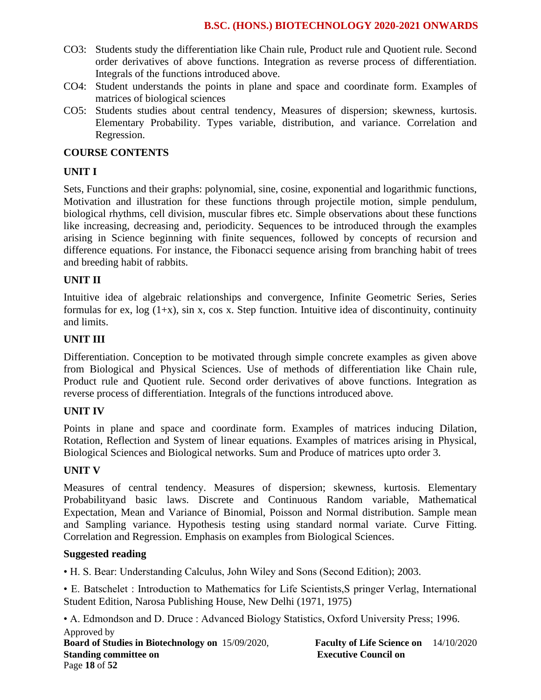- CO3: Students study the differentiation like Chain rule, Product rule and Quotient rule. Second order derivatives of above functions. Integration as reverse process of differentiation. Integrals of the functions introduced above.
- CO4: Student understands the points in plane and space and coordinate form. Examples of matrices of biological sciences
- CO5: Students studies about central tendency, Measures of dispersion; skewness, kurtosis. Elementary Probability. Types variable, distribution, and variance. Correlation and Regression.

### **COURSE CONTENTS**

### **UNIT I**

Sets, Functions and their graphs: polynomial, sine, cosine, exponential and logarithmic functions, Motivation and illustration for these functions through projectile motion, simple pendulum, biological rhythms, cell division, muscular fibres etc. Simple observations about these functions like increasing, decreasing and, periodicity. Sequences to be introduced through the examples arising in Science beginning with finite sequences, followed by concepts of recursion and difference equations. For instance, the Fibonacci sequence arising from branching habit of trees and breeding habit of rabbits.

#### **UNIT II**

Intuitive idea of algebraic relationships and convergence, Infinite Geometric Series, Series formulas for ex,  $log(1+x)$ , sin x, cos x. Step function. Intuitive idea of discontinuity, continuity and limits.

#### **UNIT III**

Differentiation. Conception to be motivated through simple concrete examples as given above from Biological and Physical Sciences. Use of methods of differentiation like Chain rule, Product rule and Quotient rule. Second order derivatives of above functions. Integration as reverse process of differentiation. Integrals of the functions introduced above.

#### **UNIT IV**

Points in plane and space and coordinate form. Examples of matrices inducing Dilation, Rotation, Reflection and System of linear equations. Examples of matrices arising in Physical, Biological Sciences and Biological networks. Sum and Produce of matrices upto order 3.

#### **UNIT V**

Measures of central tendency. Measures of dispersion; skewness, kurtosis. Elementary Probabilityand basic laws. Discrete and Continuous Random variable, Mathematical Expectation, Mean and Variance of Binomial, Poisson and Normal distribution. Sample mean and Sampling variance. Hypothesis testing using standard normal variate. Curve Fitting. Correlation and Regression. Emphasis on examples from Biological Sciences.

#### **Suggested reading**

• H. S. Bear: Understanding Calculus, John Wiley and Sons (Second Edition); 2003.

• E. Batschelet : Introduction to Mathematics for Life Scientists,S pringer Verlag, International Student Edition, Narosa Publishing House, New Delhi (1971, 1975)

Approved by **Board of Studies in Biotechnology on** 15/09/2020, **Faculty of Life Science on** 14/10/2020 **Standing committee on Executive Council on**  Page **18** of **52** • A. Edmondson and D. Druce : Advanced Biology Statistics, Oxford University Press; 1996.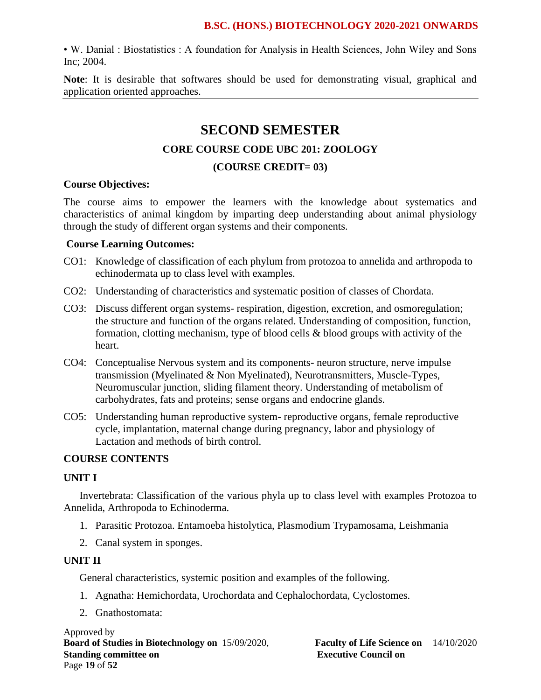• W. Danial : Biostatistics : A foundation for Analysis in Health Sciences, John Wiley and Sons Inc; 2004.

**Note**: It is desirable that softwares should be used for demonstrating visual, graphical and application oriented approaches.

# **SECOND SEMESTER**

# **CORE COURSE CODE UBC 201: ZOOLOGY**

#### **(COURSE CREDIT= 03)**

#### **Course Objectives:**

The course aims to empower the learners with the knowledge about systematics and characteristics of animal kingdom by imparting deep understanding about animal physiology through the study of different organ systems and their components.

### **Course Learning Outcomes:**

- CO1: Knowledge of classification of each phylum from protozoa to annelida and arthropoda to echinodermata up to class level with examples.
- CO2: Understanding of characteristics and systematic position of classes of Chordata.
- CO3: Discuss different organ systems- respiration, digestion, excretion, and osmoregulation; the structure and function of the organs related. Understanding of composition, function, formation, clotting mechanism, type of blood cells & blood groups with activity of the heart.
- CO4: Conceptualise Nervous system and its components- neuron structure, nerve impulse transmission (Myelinated & Non Myelinated), Neurotransmitters, Muscle-Types, Neuromuscular junction, sliding filament theory. Understanding of metabolism of carbohydrates, fats and proteins; sense organs and endocrine glands.
- CO5: Understanding human reproductive system- reproductive organs, female reproductive cycle, implantation, maternal change during pregnancy, labor and physiology of Lactation and methods of birth control.

# **COURSE CONTENTS**

#### **UNIT I**

Invertebrata: Classification of the various phyla up to class level with examples Protozoa to Annelida, Arthropoda to Echinoderma.

- 1. Parasitic Protozoa. Entamoeba histolytica, Plasmodium Trypamosama, Leishmania
- 2. Canal system in sponges.

# **UNIT II**

General characteristics, systemic position and examples of the following.

- 1. Agnatha: Hemichordata, Urochordata and Cephalochordata, Cyclostomes.
- 2. Gnathostomata:

Approved by **Board of Studies in Biotechnology on** 15/09/2020, **Faculty of Life Science on** 14/10/2020 **Standing committee on Executive Council on Executive Council on** Page **19** of **52**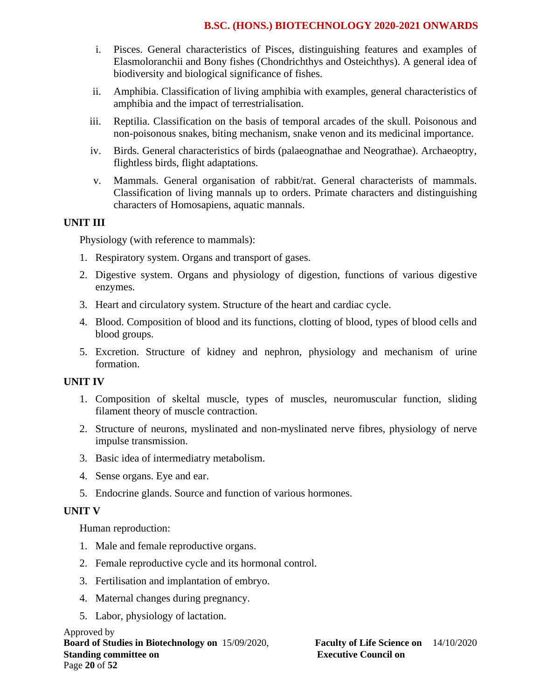- i. Pisces. General characteristics of Pisces, distinguishing features and examples of Elasmoloranchii and Bony fishes (Chondrichthys and Osteichthys). A general idea of biodiversity and biological significance of fishes.
- ii. Amphibia. Classification of living amphibia with examples, general characteristics of amphibia and the impact of terrestrialisation.
- iii. Reptilia. Classification on the basis of temporal arcades of the skull. Poisonous and non-poisonous snakes, biting mechanism, snake venon and its medicinal importance.
- iv. Birds. General characteristics of birds (palaeognathae and Neograthae). Archaeoptry, flightless birds, flight adaptations.
- v. Mammals. General organisation of rabbit/rat. General characterists of mammals. Classification of living mannals up to orders. Primate characters and distinguishing characters of Homosapiens, aquatic mannals.

#### **UNIT III**

Physiology (with reference to mammals):

- 1. Respiratory system. Organs and transport of gases.
- 2. Digestive system. Organs and physiology of digestion, functions of various digestive enzymes.
- 3. Heart and circulatory system. Structure of the heart and cardiac cycle.
- 4. Blood. Composition of blood and its functions, clotting of blood, types of blood cells and blood groups.
- 5. Excretion. Structure of kidney and nephron, physiology and mechanism of urine formation.

#### **UNIT IV**

- 1. Composition of skeltal muscle, types of muscles, neuromuscular function, sliding filament theory of muscle contraction.
- 2. Structure of neurons, myslinated and non-myslinated nerve fibres, physiology of nerve impulse transmission.
- 3. Basic idea of intermediatry metabolism.
- 4. Sense organs. Eye and ear.
- 5. Endocrine glands. Source and function of various hormones.

#### **UNIT V**

Human reproduction:

- 1. Male and female reproductive organs.
- 2. Female reproductive cycle and its hormonal control.
- 3. Fertilisation and implantation of embryo.
- 4. Maternal changes during pregnancy.
- 5. Labor, physiology of lactation.

Approved by **Board of Studies in Biotechnology on** 15/09/2020, **Faculty of Life Science on** 14/10/2020 **Standing committee on Executive Council on Executive Council on** Page **20** of **52**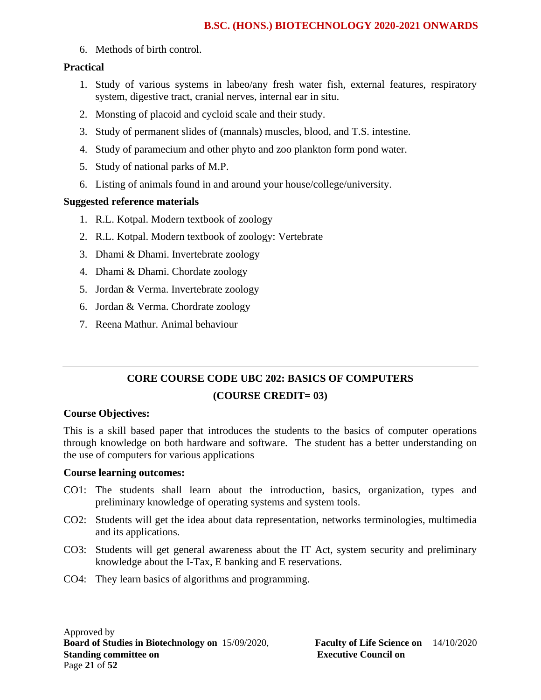6. Methods of birth control.

# **Practical**

- 1. Study of various systems in labeo/any fresh water fish, external features, respiratory system, digestive tract, cranial nerves, internal ear in situ.
- 2. Monsting of placoid and cycloid scale and their study.
- 3. Study of permanent slides of (mannals) muscles, blood, and T.S. intestine.
- 4. Study of paramecium and other phyto and zoo plankton form pond water.
- 5. Study of national parks of M.P.
- 6. Listing of animals found in and around your house/college/university.

# **Suggested reference materials**

- 1. R.L. Kotpal. Modern textbook of zoology
- 2. R.L. Kotpal. Modern textbook of zoology: Vertebrate
- 3. Dhami & Dhami. Invertebrate zoology
- 4. Dhami & Dhami. Chordate zoology
- 5. Jordan & Verma. Invertebrate zoology
- 6. Jordan & Verma. Chordrate zoology
- 7. Reena Mathur. Animal behaviour

# **CORE COURSE CODE UBC 202: BASICS OF COMPUTERS (COURSE CREDIT= 03)**

# **Course Objectives:**

This is a skill based paper that introduces the students to the basics of computer operations through knowledge on both hardware and software. The student has a better understanding on the use of computers for various applications

# **Course learning outcomes:**

- CO1: The students shall learn about the introduction, basics, organization, types and preliminary knowledge of operating systems and system tools.
- CO2: Students will get the idea about data representation, networks terminologies, multimedia and its applications.
- CO3: Students will get general awareness about the IT Act, system security and preliminary knowledge about the I-Tax, E banking and E reservations.
- CO4: They learn basics of algorithms and programming.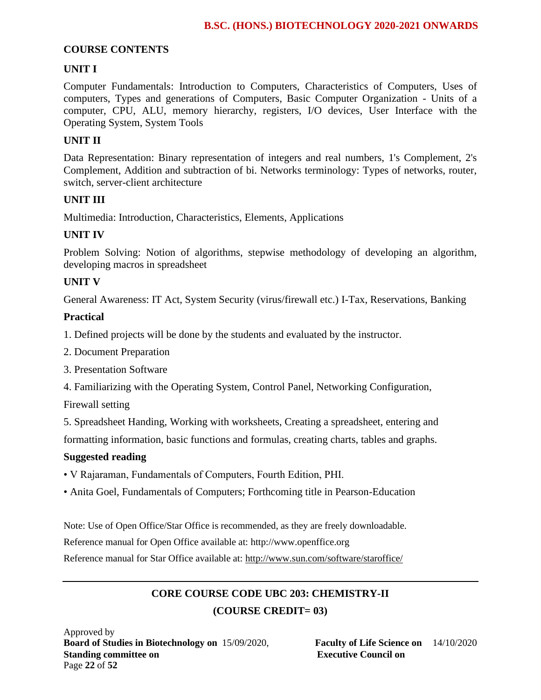### **COURSE CONTENTS**

# **UNIT I**

Computer Fundamentals: Introduction to Computers, Characteristics of Computers, Uses of computers, Types and generations of Computers, Basic Computer Organization - Units of a computer, CPU, ALU, memory hierarchy, registers, I/O devices, User Interface with the Operating System, System Tools

### **UNIT II**

Data Representation: Binary representation of integers and real numbers, 1's Complement, 2's Complement, Addition and subtraction of bi. Networks terminology: Types of networks, router, switch, server-client architecture

#### **UNIT III**

Multimedia: Introduction, Characteristics, Elements, Applications

### **UNIT IV**

Problem Solving: Notion of algorithms, stepwise methodology of developing an algorithm, developing macros in spreadsheet

### **UNIT V**

General Awareness: IT Act, System Security (virus/firewall etc.) I-Tax, Reservations, Banking

#### **Practical**

1. Defined projects will be done by the students and evaluated by the instructor.

- 2. Document Preparation
- 3. Presentation Software
- 4. Familiarizing with the Operating System, Control Panel, Networking Configuration,

Firewall setting

5. Spreadsheet Handing, Working with worksheets, Creating a spreadsheet, entering and

formatting information, basic functions and formulas, creating charts, tables and graphs.

#### **Suggested reading**

- V Rajaraman, Fundamentals of Computers, Fourth Edition, PHI.
- Anita Goel, Fundamentals of Computers; Forthcoming title in Pearson-Education

Note: Use of Open Office/Star Office is recommended, as they are freely downloadable.

Reference manual for Open Office available at: http://www.openffice.org

Reference manual for Star Office available at:<http://www.sun.com/software/staroffice/>

# **CORE COURSE CODE UBC 203: CHEMISTRY-II (COURSE CREDIT= 03)**

Approved by **Board of Studies in Biotechnology on** 15/09/2020, **Faculty of Life Science on** 14/10/2020 **Standing committee on Executive Council on Executive Council on** Page **22** of **52**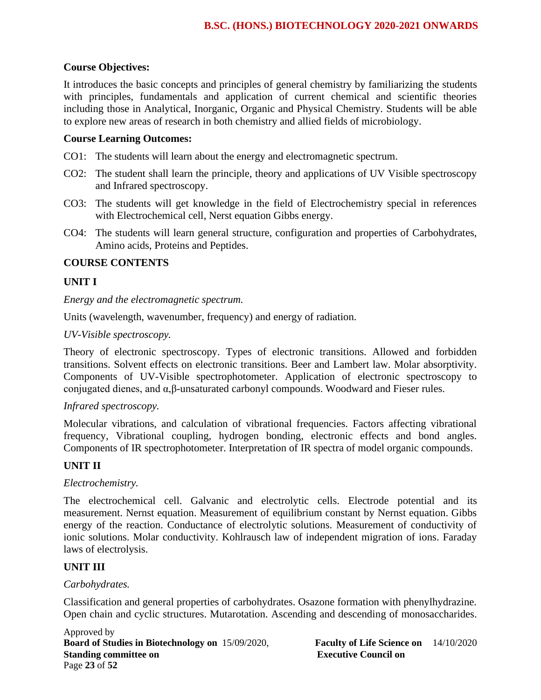### **Course Objectives:**

It introduces the basic concepts and principles of general chemistry by familiarizing the students with principles, fundamentals and application of current chemical and scientific theories including those in Analytical, Inorganic, Organic and Physical Chemistry. Students will be able to explore new areas of research in both chemistry and allied fields of microbiology.

#### **Course Learning Outcomes:**

- CO1: The students will learn about the energy and electromagnetic spectrum.
- CO2: The student shall learn the principle, theory and applications of UV Visible spectroscopy and Infrared spectroscopy.
- CO3: The students will get knowledge in the field of Electrochemistry special in references with Electrochemical cell, Nerst equation Gibbs energy.
- CO4: The students will learn general structure, configuration and properties of Carbohydrates, Amino acids, Proteins and Peptides.

#### **COURSE CONTENTS**

#### **UNIT I**

*Energy and the electromagnetic spectrum.*

Units (wavelength, wavenumber, frequency) and energy of radiation.

#### *UV-Visible spectroscopy.*

Theory of electronic spectroscopy. Types of electronic transitions. Allowed and forbidden transitions. Solvent effects on electronic transitions. Beer and Lambert law. Molar absorptivity. Components of UV-Visible spectrophotometer. Application of electronic spectroscopy to conjugated dienes, and α,β-unsaturated carbonyl compounds. Woodward and Fieser rules.

#### *Infrared spectroscopy.*

Molecular vibrations, and calculation of vibrational frequencies. Factors affecting vibrational frequency, Vibrational coupling, hydrogen bonding, electronic effects and bond angles. Components of IR spectrophotometer. Interpretation of IR spectra of model organic compounds.

#### **UNIT II**

#### *Electrochemistry.*

The electrochemical cell. Galvanic and electrolytic cells. Electrode potential and its measurement. Nernst equation. Measurement of equilibrium constant by Nernst equation. Gibbs energy of the reaction. Conductance of electrolytic solutions. Measurement of conductivity of ionic solutions. Molar conductivity. Kohlrausch law of independent migration of ions. Faraday laws of electrolysis.

#### **UNIT III**

#### *Carbohydrates.*

Classification and general properties of carbohydrates. Osazone formation with phenylhydrazine. Open chain and cyclic structures. Mutarotation. Ascending and descending of monosaccharides.

Approved by **Board of Studies in Biotechnology on** 15/09/2020, **Faculty of Life Science on** 14/10/2020 **Standing committee on Executive Council on Executive Council on** Page **23** of **52**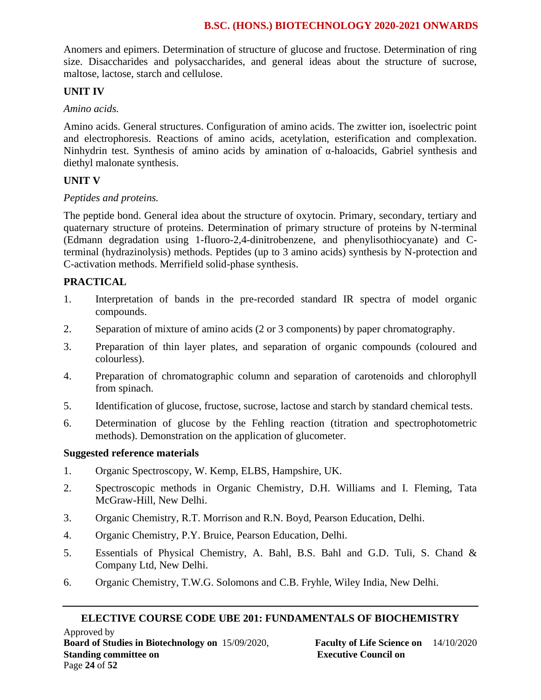Anomers and epimers. Determination of structure of glucose and fructose. Determination of ring size. Disaccharides and polysaccharides, and general ideas about the structure of sucrose, maltose, lactose, starch and cellulose.

## **UNIT IV**

### *Amino acids.*

Amino acids. General structures. Configuration of amino acids. The zwitter ion, isoelectric point and electrophoresis. Reactions of amino acids, acetylation, esterification and complexation. Ninhydrin test. Synthesis of amino acids by amination of α-haloacids, Gabriel synthesis and diethyl malonate synthesis.

# **UNIT V**

### *Peptides and proteins.*

The peptide bond. General idea about the structure of oxytocin. Primary, secondary, tertiary and quaternary structure of proteins. Determination of primary structure of proteins by N-terminal (Edmann degradation using 1-fluoro-2,4-dinitrobenzene, and phenylisothiocyanate) and Cterminal (hydrazinolysis) methods. Peptides (up to 3 amino acids) synthesis by N-protection and C-activation methods. Merrifield solid-phase synthesis.

### **PRACTICAL**

- 1. Interpretation of bands in the pre-recorded standard IR spectra of model organic compounds.
- 2. Separation of mixture of amino acids (2 or 3 components) by paper chromatography.
- 3. Preparation of thin layer plates, and separation of organic compounds (coloured and colourless).
- 4. Preparation of chromatographic column and separation of carotenoids and chlorophyll from spinach.
- 5. Identification of glucose, fructose, sucrose, lactose and starch by standard chemical tests.
- 6. Determination of glucose by the Fehling reaction (titration and spectrophotometric methods). Demonstration on the application of glucometer.

#### **Suggested reference materials**

- 1. Organic Spectroscopy, W. Kemp, ELBS, Hampshire, UK.
- 2. Spectroscopic methods in Organic Chemistry, D.H. Williams and I. Fleming, Tata McGraw-Hill, New Delhi.
- 3. Organic Chemistry, R.T. Morrison and R.N. Boyd, Pearson Education, Delhi.
- 4. Organic Chemistry, P.Y. Bruice, Pearson Education, Delhi.
- 5. Essentials of Physical Chemistry, A. Bahl, B.S. Bahl and G.D. Tuli, S. Chand & Company Ltd, New Delhi.
- 6. Organic Chemistry, T.W.G. Solomons and C.B. Fryhle, Wiley India, New Delhi.

#### **ELECTIVE COURSE CODE UBE 201: FUNDAMENTALS OF BIOCHEMISTRY**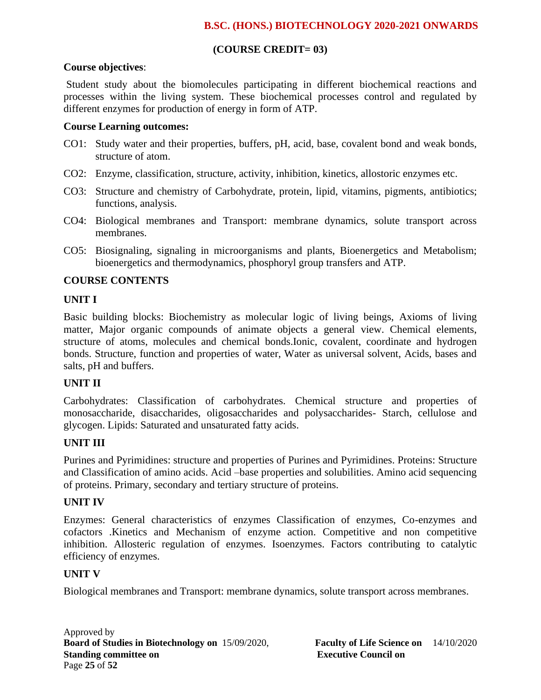# **(COURSE CREDIT= 03)**

### **Course objectives**:

Student study about the biomolecules participating in different biochemical reactions and processes within the living system. These biochemical processes control and regulated by different enzymes for production of energy in form of ATP.

### **Course Learning outcomes:**

- CO1: Study water and their properties, buffers, pH, acid, base, covalent bond and weak bonds, structure of atom.
- CO2: Enzyme, classification, structure, activity, inhibition, kinetics, allostoric enzymes etc.
- CO3: Structure and chemistry of Carbohydrate, protein, lipid, vitamins, pigments, antibiotics; functions, analysis.
- CO4: Biological membranes and Transport: membrane dynamics, solute transport across membranes.
- CO5: Biosignaling, signaling in microorganisms and plants, Bioenergetics and Metabolism; bioenergetics and thermodynamics, phosphoryl group transfers and ATP.

# **COURSE CONTENTS**

# **UNIT I**

Basic building blocks: Biochemistry as molecular logic of living beings, Axioms of living matter, Major organic compounds of animate objects a general view. Chemical elements, structure of atoms, molecules and chemical bonds.Ionic, covalent, coordinate and hydrogen bonds. Structure, function and properties of water, Water as universal solvent, Acids, bases and salts, pH and buffers.

# **UNIT II**

Carbohydrates: Classification of carbohydrates. Chemical structure and properties of monosaccharide, disaccharides, oligosaccharides and polysaccharides- Starch, cellulose and glycogen. Lipids: Saturated and unsaturated fatty acids.

# **UNIT III**

Purines and Pyrimidines: structure and properties of Purines and Pyrimidines. Proteins: Structure and Classification of amino acids. Acid –base properties and solubilities. Amino acid sequencing of proteins. Primary, secondary and tertiary structure of proteins.

# **UNIT IV**

Enzymes: General characteristics of enzymes Classification of enzymes, Co-enzymes and cofactors .Kinetics and Mechanism of enzyme action. Competitive and non competitive inhibition. Allosteric regulation of enzymes. Isoenzymes. Factors contributing to catalytic efficiency of enzymes.

# **UNIT V**

Biological membranes and Transport: membrane dynamics, solute transport across membranes.

Approved by **Board of Studies in Biotechnology on** 15/09/2020, **Faculty of Life Science on** 14/10/2020 **Standing committee on Executive Council on Executive Council on** Page **25** of **52**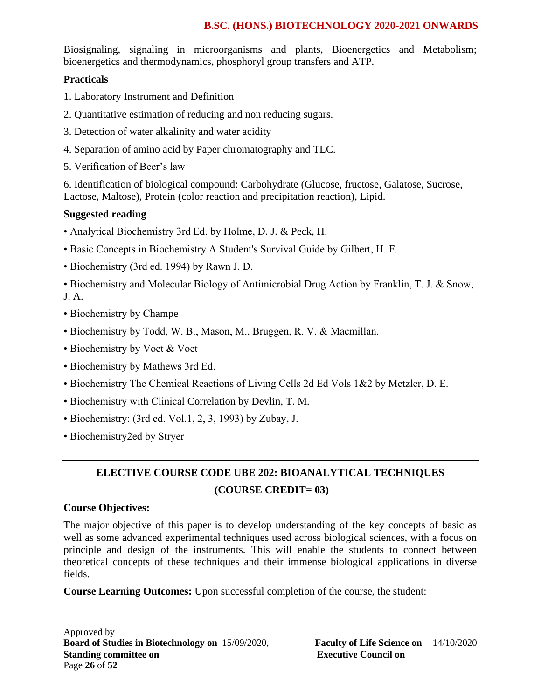Biosignaling, signaling in microorganisms and plants, Bioenergetics and Metabolism; bioenergetics and thermodynamics, phosphoryl group transfers and ATP.

# **Practicals**

- 1. Laboratory Instrument and Definition
- 2. Quantitative estimation of reducing and non reducing sugars.
- 3. Detection of water alkalinity and water acidity
- 4. Separation of amino acid by Paper chromatography and TLC.
- 5. Verification of Beer's law

6. Identification of biological compound: Carbohydrate (Glucose, fructose, Galatose, Sucrose, Lactose, Maltose), Protein (color reaction and precipitation reaction), Lipid.

# **Suggested reading**

- Analytical Biochemistry 3rd Ed. by Holme, D. J. & Peck, H.
- Basic Concepts in Biochemistry A Student's Survival Guide by Gilbert, H. F.
- Biochemistry (3rd ed. 1994) by Rawn J. D.

• Biochemistry and Molecular Biology of Antimicrobial Drug Action by Franklin, T. J. & Snow, J. A.

- Biochemistry by Champe
- Biochemistry by Todd, W. B., Mason, M., Bruggen, R. V. & Macmillan.
- Biochemistry by Voet & Voet
- Biochemistry by Mathews 3rd Ed.
- Biochemistry The Chemical Reactions of Living Cells 2d Ed Vols 1&2 by Metzler, D. E.
- Biochemistry with Clinical Correlation by Devlin, T. M.
- Biochemistry: (3rd ed. Vol.1, 2, 3, 1993) by Zubay, J.
- Biochemistry2ed by Stryer

# **ELECTIVE COURSE CODE UBE 202: BIOANALYTICAL TECHNIQUES (COURSE CREDIT= 03)**

# **Course Objectives:**

The major objective of this paper is to develop understanding of the key concepts of basic as well as some advanced experimental techniques used across biological sciences, with a focus on principle and design of the instruments. This will enable the students to connect between theoretical concepts of these techniques and their immense biological applications in diverse fields.

**Course Learning Outcomes:** Upon successful completion of the course, the student:

Approved by **Board of Studies in Biotechnology on** 15/09/2020, **Faculty of Life Science on** 14/10/2020 **Standing committee on** <br>**Executive Council on Executive Council on** Page **26** of **52**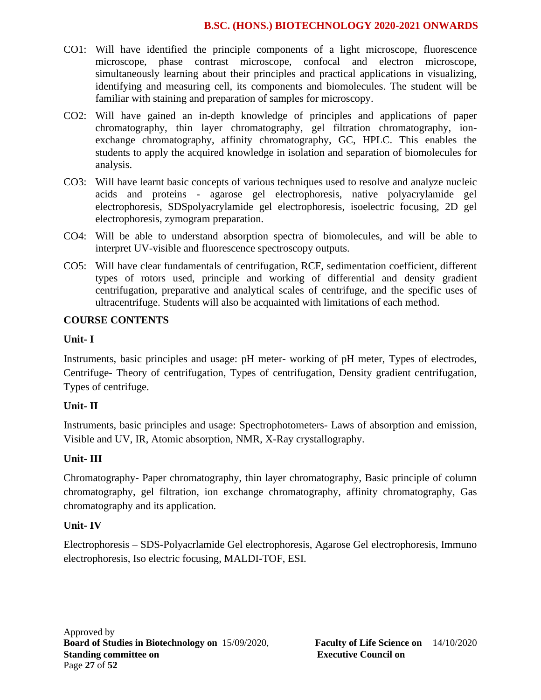- CO1: Will have identified the principle components of a light microscope, fluorescence microscope, phase contrast microscope, confocal and electron microscope, simultaneously learning about their principles and practical applications in visualizing, identifying and measuring cell, its components and biomolecules. The student will be familiar with staining and preparation of samples for microscopy.
- CO2: Will have gained an in-depth knowledge of principles and applications of paper chromatography, thin layer chromatography, gel filtration chromatography, ionexchange chromatography, affinity chromatography, GC, HPLC. This enables the students to apply the acquired knowledge in isolation and separation of biomolecules for analysis.
- CO3: Will have learnt basic concepts of various techniques used to resolve and analyze nucleic acids and proteins - agarose gel electrophoresis, native polyacrylamide gel electrophoresis, SDSpolyacrylamide gel electrophoresis, isoelectric focusing, 2D gel electrophoresis, zymogram preparation.
- CO4: Will be able to understand absorption spectra of biomolecules, and will be able to interpret UV-visible and fluorescence spectroscopy outputs.
- CO5: Will have clear fundamentals of centrifugation, RCF, sedimentation coefficient, different types of rotors used, principle and working of differential and density gradient centrifugation, preparative and analytical scales of centrifuge, and the specific uses of ultracentrifuge. Students will also be acquainted with limitations of each method.

# **COURSE CONTENTS**

#### **Unit- I**

Instruments, basic principles and usage: pH meter- working of pH meter, Types of electrodes, Centrifuge- Theory of centrifugation, Types of centrifugation, Density gradient centrifugation, Types of centrifuge.

# **Unit- II**

Instruments, basic principles and usage: Spectrophotometers- Laws of absorption and emission, Visible and UV, IR, Atomic absorption, NMR, X-Ray crystallography.

# **Unit- III**

Chromatography- Paper chromatography, thin layer chromatography, Basic principle of column chromatography, gel filtration, ion exchange chromatography, affinity chromatography, Gas chromatography and its application.

# **Unit- IV**

Electrophoresis – SDS-Polyacrlamide Gel electrophoresis, Agarose Gel electrophoresis, Immuno electrophoresis, Iso electric focusing, MALDI-TOF, ESI.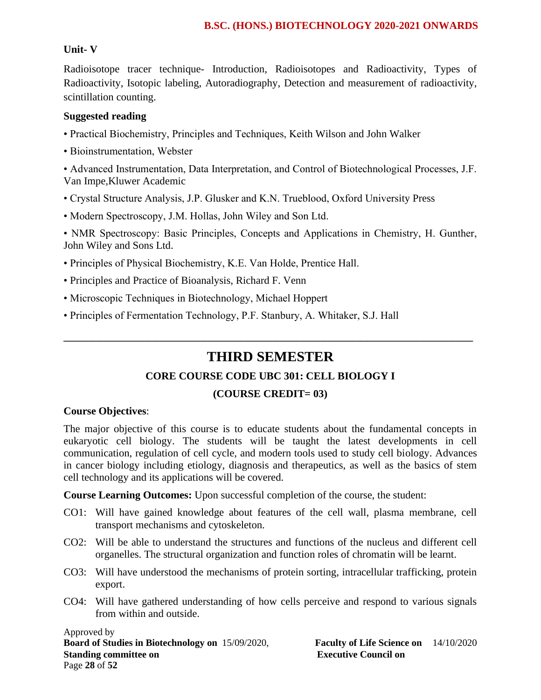# **Unit- V**

Radioisotope tracer technique- Introduction, Radioisotopes and Radioactivity, Types of Radioactivity, Isotopic labeling, Autoradiography, Detection and measurement of radioactivity, scintillation counting.

# **Suggested reading**

- Practical Biochemistry, Principles and Techniques, Keith Wilson and John Walker
- Bioinstrumentation, Webster

• Advanced Instrumentation, Data Interpretation, and Control of Biotechnological Processes, J.F. Van Impe,Kluwer Academic

- Crystal Structure Analysis, J.P. Glusker and K.N. Trueblood, Oxford University Press
- Modern Spectroscopy, J.M. Hollas, John Wiley and Son Ltd.

• NMR Spectroscopy: Basic Principles, Concepts and Applications in Chemistry, H. Gunther, John Wiley and Sons Ltd.

- Principles of Physical Biochemistry, K.E. Van Holde, Prentice Hall.
- Principles and Practice of Bioanalysis, Richard F. Venn
- Microscopic Techniques in Biotechnology, Michael Hoppert
- Principles of Fermentation Technology, P.F. Stanbury, A. Whitaker, S.J. Hall

# **THIRD SEMESTER**

\_\_\_\_\_\_\_\_\_\_\_\_\_\_\_\_\_\_\_\_\_\_\_\_\_\_\_\_\_\_\_\_\_\_\_\_\_\_\_\_\_\_\_\_\_\_\_\_\_\_\_\_\_\_\_\_\_\_

# **CORE COURSE CODE UBC 301: CELL BIOLOGY I**

# **(COURSE CREDIT= 03)**

# **Course Objectives**:

The major objective of this course is to educate students about the fundamental concepts in eukaryotic cell biology. The students will be taught the latest developments in cell communication, regulation of cell cycle, and modern tools used to study cell biology. Advances in cancer biology including etiology, diagnosis and therapeutics, as well as the basics of stem cell technology and its applications will be covered.

**Course Learning Outcomes:** Upon successful completion of the course, the student:

- CO1: Will have gained knowledge about features of the cell wall, plasma membrane, cell transport mechanisms and cytoskeleton.
- CO2: Will be able to understand the structures and functions of the nucleus and different cell organelles. The structural organization and function roles of chromatin will be learnt.
- CO3: Will have understood the mechanisms of protein sorting, intracellular trafficking, protein export.
- CO4: Will have gathered understanding of how cells perceive and respond to various signals from within and outside.

Approved by **Board of Studies in Biotechnology on** 15/09/2020, **Faculty of Life Science on** 14/10/2020 **Standing committee on** <br>**Executive Council on Executive Council on** Page **28** of **52**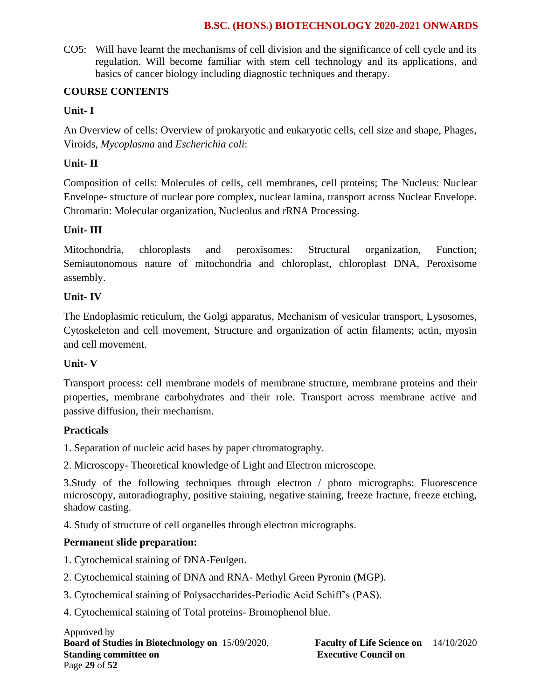CO5: Will have learnt the mechanisms of cell division and the significance of cell cycle and its regulation. Will become familiar with stem cell technology and its applications, and basics of cancer biology including diagnostic techniques and therapy.

# **COURSE CONTENTS**

# **Unit- I**

An Overview of cells: Overview of prokaryotic and eukaryotic cells, cell size and shape, Phages, Viroids, *Mycoplasma* and *Escherichia coli*:

# **Unit- II**

Composition of cells: Molecules of cells, cell membranes, cell proteins; The Nucleus: Nuclear Envelope- structure of nuclear pore complex, nuclear lamina, transport across Nuclear Envelope. Chromatin: Molecular organization, Nucleolus and rRNA Processing.

# **Unit- III**

Mitochondria, chloroplasts and peroxisomes: Structural organization, Function; Semiautonomous nature of mitochondria and chloroplast, chloroplast DNA, Peroxisome assembly.

# **Unit- IV**

The Endoplasmic reticulum, the Golgi apparatus, Mechanism of vesicular transport, Lysosomes, Cytoskeleton and cell movement, Structure and organization of actin filaments; actin, myosin and cell movement.

# **Unit- V**

Transport process: cell membrane models of membrane structure, membrane proteins and their properties, membrane carbohydrates and their role. Transport across membrane active and passive diffusion, their mechanism.

# **Practicals**

1. Separation of nucleic acid bases by paper chromatography.

2. Microscopy- Theoretical knowledge of Light and Electron microscope.

3.Study of the following techniques through electron / photo micrographs: Fluorescence microscopy, autoradiography, positive staining, negative staining, freeze fracture, freeze etching, shadow casting.

4. Study of structure of cell organelles through electron micrographs.

# **Permanent slide preparation:**

- 1. Cytochemical staining of DNA-Feulgen.
- 2. Cytochemical staining of DNA and RNA- Methyl Green Pyronin (MGP).
- 3. Cytochemical staining of Polysaccharides-Periodic Acid Schiff's (PAS).

4. Cytochemical staining of Total proteins- Bromophenol blue.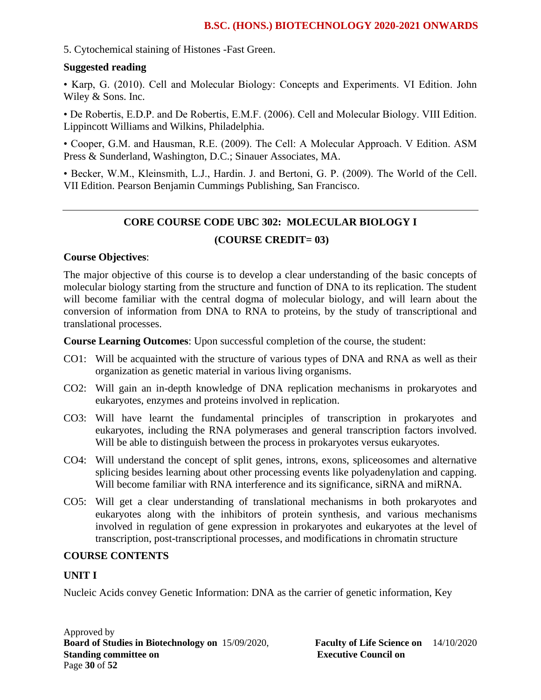#### 5. Cytochemical staining of Histones -Fast Green.

#### **Suggested reading**

• Karp, G. (2010). Cell and Molecular Biology: Concepts and Experiments. VI Edition. John Wiley & Sons. Inc.

• De Robertis, E.D.P. and De Robertis, E.M.F. (2006). Cell and Molecular Biology. VIII Edition. Lippincott Williams and Wilkins, Philadelphia.

• Cooper, G.M. and Hausman, R.E. (2009). The Cell: A Molecular Approach. V Edition. ASM Press & Sunderland, Washington, D.C.; Sinauer Associates, MA.

• Becker, W.M., Kleinsmith, L.J., Hardin. J. and Bertoni, G. P. (2009). The World of the Cell. VII Edition. Pearson Benjamin Cummings Publishing, San Francisco.

# **CORE COURSE CODE UBC 302: MOLECULAR BIOLOGY I**

### **(COURSE CREDIT= 03)**

### **Course Objectives**:

The major objective of this course is to develop a clear understanding of the basic concepts of molecular biology starting from the structure and function of DNA to its replication. The student will become familiar with the central dogma of molecular biology, and will learn about the conversion of information from DNA to RNA to proteins, by the study of transcriptional and translational processes.

**Course Learning Outcomes**: Upon successful completion of the course, the student:

- CO1: Will be acquainted with the structure of various types of DNA and RNA as well as their organization as genetic material in various living organisms.
- CO2: Will gain an in-depth knowledge of DNA replication mechanisms in prokaryotes and eukaryotes, enzymes and proteins involved in replication.
- CO3: Will have learnt the fundamental principles of transcription in prokaryotes and eukaryotes, including the RNA polymerases and general transcription factors involved. Will be able to distinguish between the process in prokaryotes versus eukaryotes.
- CO4: Will understand the concept of split genes, introns, exons, spliceosomes and alternative splicing besides learning about other processing events like polyadenylation and capping. Will become familiar with RNA interference and its significance, siRNA and miRNA.
- CO5: Will get a clear understanding of translational mechanisms in both prokaryotes and eukaryotes along with the inhibitors of protein synthesis, and various mechanisms involved in regulation of gene expression in prokaryotes and eukaryotes at the level of transcription, post-transcriptional processes, and modifications in chromatin structure

### **COURSE CONTENTS**

#### **UNIT I**

Nucleic Acids convey Genetic Information: DNA as the carrier of genetic information, Key

Approved by **Board of Studies in Biotechnology on** 15/09/2020, **Faculty of Life Science on** 14/10/2020 **Standing committee on** <br>**Executive Council on Executive Council on** Page **30** of **52**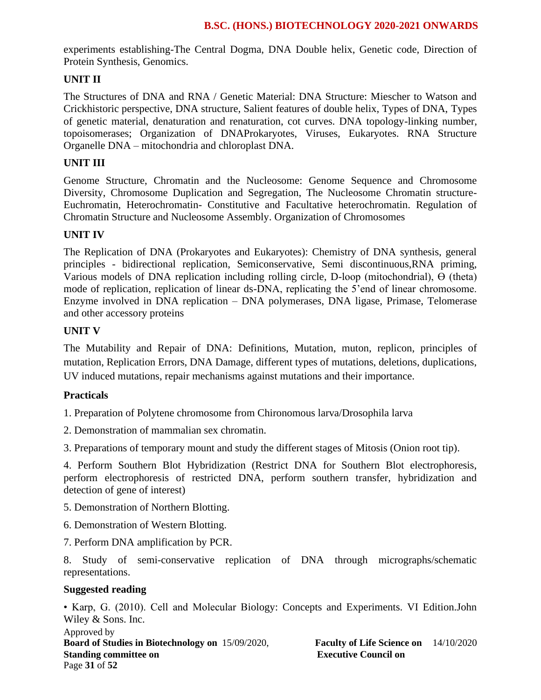experiments establishing-The Central Dogma, DNA Double helix, Genetic code, Direction of Protein Synthesis, Genomics.

### **UNIT II**

The Structures of DNA and RNA / Genetic Material: DNA Structure: Miescher to Watson and Crickhistoric perspective, DNA structure, Salient features of double helix, Types of DNA, Types of genetic material, denaturation and renaturation, cot curves. DNA topology-linking number, topoisomerases; Organization of DNAProkaryotes, Viruses, Eukaryotes. RNA Structure Organelle DNA – mitochondria and chloroplast DNA.

### **UNIT III**

Genome Structure, Chromatin and the Nucleosome: Genome Sequence and Chromosome Diversity, Chromosome Duplication and Segregation, The Nucleosome Chromatin structure-Euchromatin, Heterochromatin- Constitutive and Facultative heterochromatin. Regulation of Chromatin Structure and Nucleosome Assembly. Organization of Chromosomes

#### **UNIT IV**

The Replication of DNA (Prokaryotes and Eukaryotes): Chemistry of DNA synthesis, general principles - bidirectional replication, Semiconservative, Semi discontinuous,RNA priming, Various models of DNA replication including rolling circle, D-loop (mitochondrial), Ө (theta) mode of replication, replication of linear ds-DNA, replicating the 5'end of linear chromosome. Enzyme involved in DNA replication – DNA polymerases, DNA ligase, Primase, Telomerase and other accessory proteins

#### **UNIT V**

The Mutability and Repair of DNA: Definitions, Mutation, muton, replicon, principles of mutation, Replication Errors, DNA Damage, different types of mutations, deletions, duplications, UV induced mutations, repair mechanisms against mutations and their importance.

#### **Practicals**

1. Preparation of Polytene chromosome from Chironomous larva/Drosophila larva

2. Demonstration of mammalian sex chromatin.

3. Preparations of temporary mount and study the different stages of Mitosis (Onion root tip).

4. Perform Southern Blot Hybridization (Restrict DNA for Southern Blot electrophoresis, perform electrophoresis of restricted DNA, perform southern transfer, hybridization and detection of gene of interest)

- 5. Demonstration of Northern Blotting.
- 6. Demonstration of Western Blotting.
- 7. Perform DNA amplification by PCR.

8. Study of semi-conservative replication of DNA through micrographs/schematic representations.

#### **Suggested reading**

• Karp, G. (2010). Cell and Molecular Biology: Concepts and Experiments. VI Edition.John Wiley & Sons. Inc.

Approved by **Board of Studies in Biotechnology on** 15/09/2020, **Faculty of Life Science on** 14/10/2020 **Standing committee on Executive Council on Executive Council on** Page **31** of **52**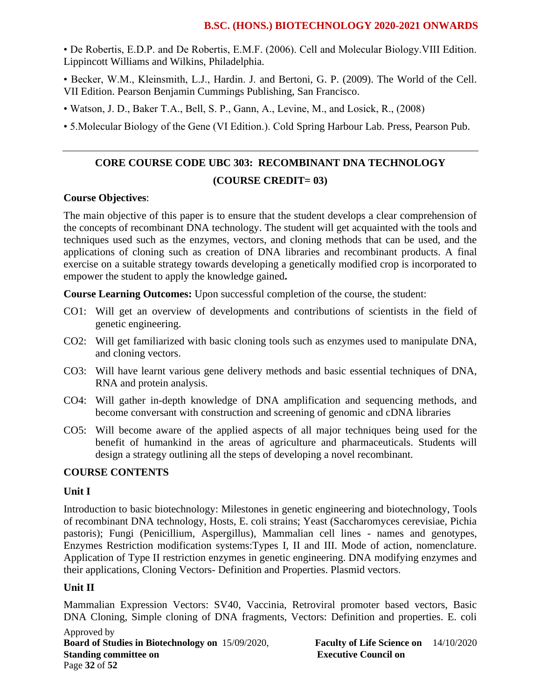• De Robertis, E.D.P. and De Robertis, E.M.F. (2006). Cell and Molecular Biology.VIII Edition. Lippincott Williams and Wilkins, Philadelphia.

- Becker, W.M., Kleinsmith, L.J., Hardin. J. and Bertoni, G. P. (2009). The World of the Cell. VII Edition. Pearson Benjamin Cummings Publishing, San Francisco.
- Watson, J. D., Baker T.A., Bell, S. P., Gann, A., Levine, M., and Losick, R., (2008)
- 5.Molecular Biology of the Gene (VI Edition.). Cold Spring Harbour Lab. Press, Pearson Pub.

# **CORE COURSE CODE UBC 303: RECOMBINANT DNA TECHNOLOGY (COURSE CREDIT= 03)**

### **Course Objectives**:

The main objective of this paper is to ensure that the student develops a clear comprehension of the concepts of recombinant DNA technology. The student will get acquainted with the tools and techniques used such as the enzymes, vectors, and cloning methods that can be used, and the applications of cloning such as creation of DNA libraries and recombinant products. A final exercise on a suitable strategy towards developing a genetically modified crop is incorporated to empower the student to apply the knowledge gained**.** 

**Course Learning Outcomes:** Upon successful completion of the course, the student:

- CO1: Will get an overview of developments and contributions of scientists in the field of genetic engineering.
- CO2: Will get familiarized with basic cloning tools such as enzymes used to manipulate DNA, and cloning vectors.
- CO3: Will have learnt various gene delivery methods and basic essential techniques of DNA, RNA and protein analysis.
- CO4: Will gather in-depth knowledge of DNA amplification and sequencing methods, and become conversant with construction and screening of genomic and cDNA libraries
- CO5: Will become aware of the applied aspects of all major techniques being used for the benefit of humankind in the areas of agriculture and pharmaceuticals. Students will design a strategy outlining all the steps of developing a novel recombinant.

#### **COURSE CONTENTS**

#### **Unit I**

Introduction to basic biotechnology: Milestones in genetic engineering and biotechnology, Tools of recombinant DNA technology, Hosts, E. coli strains; Yeast (Saccharomyces cerevisiae, Pichia pastoris); Fungi (Penicillium, Aspergillus), Mammalian cell lines - names and genotypes, Enzymes Restriction modification systems:Types I, II and III. Mode of action, nomenclature. Application of Type II restriction enzymes in genetic engineering. DNA modifying enzymes and their applications, Cloning Vectors- Definition and Properties. Plasmid vectors.

#### **Unit II**

Mammalian Expression Vectors: SV40, Vaccinia, Retroviral promoter based vectors, Basic DNA Cloning, Simple cloning of DNA fragments, Vectors: Definition and properties. E. coli

Approved by **Board of Studies in Biotechnology on** 15/09/2020, **Faculty of Life Science on** 14/10/2020 **Standing committee on Executive Council on Executive Council on** Page **32** of **52**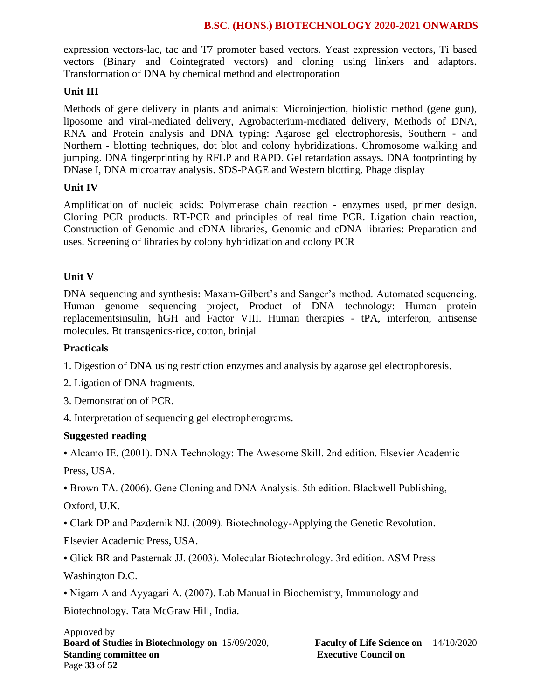expression vectors-lac, tac and T7 promoter based vectors. Yeast expression vectors, Ti based vectors (Binary and Cointegrated vectors) and cloning using linkers and adaptors. Transformation of DNA by chemical method and electroporation

# **Unit III**

Methods of gene delivery in plants and animals: Microinjection, biolistic method (gene gun), liposome and viral-mediated delivery, Agrobacterium-mediated delivery, Methods of DNA, RNA and Protein analysis and DNA typing: Agarose gel electrophoresis, Southern - and Northern - blotting techniques, dot blot and colony hybridizations. Chromosome walking and jumping. DNA fingerprinting by RFLP and RAPD. Gel retardation assays. DNA footprinting by DNase I, DNA microarray analysis. SDS-PAGE and Western blotting. Phage display

# **Unit IV**

Amplification of nucleic acids: Polymerase chain reaction - enzymes used, primer design. Cloning PCR products. RT-PCR and principles of real time PCR. Ligation chain reaction, Construction of Genomic and cDNA libraries, Genomic and cDNA libraries: Preparation and uses. Screening of libraries by colony hybridization and colony PCR

# **Unit V**

DNA sequencing and synthesis: Maxam-Gilbert's and Sanger's method. Automated sequencing. Human genome sequencing project, Product of DNA technology: Human protein replacementsinsulin, hGH and Factor VIII. Human therapies - tPA, interferon, antisense molecules. Bt transgenics-rice, cotton, brinjal

### **Practicals**

1. Digestion of DNA using restriction enzymes and analysis by agarose gel electrophoresis.

2. Ligation of DNA fragments.

3. Demonstration of PCR.

4. Interpretation of sequencing gel electropherograms.

# **Suggested reading**

• Alcamo IE. (2001). DNA Technology: The Awesome Skill. 2nd edition. Elsevier Academic Press, USA.

• Brown TA. (2006). Gene Cloning and DNA Analysis. 5th edition. Blackwell Publishing, Oxford, U.K.

• Clark DP and Pazdernik NJ. (2009). Biotechnology-Applying the Genetic Revolution. Elsevier Academic Press, USA.

• Glick BR and Pasternak JJ. (2003). Molecular Biotechnology. 3rd edition. ASM Press Washington D.C.

• Nigam A and Ayyagari A. (2007). Lab Manual in Biochemistry, Immunology and

Biotechnology. Tata McGraw Hill, India.

Approved by **Board of Studies in Biotechnology on** 15/09/2020, **Faculty of Life Science on** 14/10/2020 **Standing committee on Executive Council on Executive Council on** Page **33** of **52**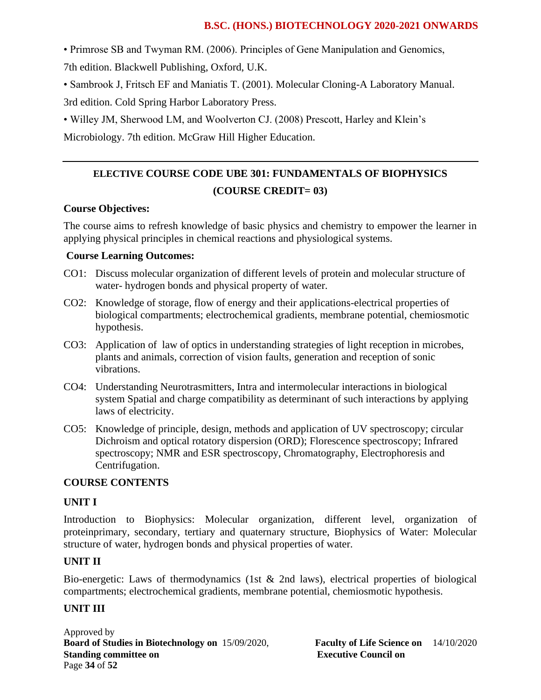• Primrose SB and Twyman RM. (2006). Principles of Gene Manipulation and Genomics, 7th edition. Blackwell Publishing, Oxford, U.K.

• Sambrook J, Fritsch EF and Maniatis T. (2001). Molecular Cloning-A Laboratory Manual.

3rd edition. Cold Spring Harbor Laboratory Press.

• Willey JM, Sherwood LM, and Woolverton CJ. (2008) Prescott, Harley and Klein's

Microbiology. 7th edition. McGraw Hill Higher Education.

# **ELECTIVE COURSE CODE UBE 301: FUNDAMENTALS OF BIOPHYSICS (COURSE CREDIT= 03)**

# **Course Objectives:**

The course aims to refresh knowledge of basic physics and chemistry to empower the learner in applying physical principles in chemical reactions and physiological systems.

# **Course Learning Outcomes:**

- CO1: Discuss molecular organization of different levels of protein and molecular structure of water- hydrogen bonds and physical property of water.
- CO2: Knowledge of storage, flow of energy and their applications-electrical properties of biological compartments; electrochemical gradients, membrane potential, chemiosmotic hypothesis.
- CO3: Application of law of optics in understanding strategies of light reception in microbes, plants and animals, correction of vision faults, generation and reception of sonic vibrations.
- CO4: Understanding Neurotrasmitters, Intra and intermolecular interactions in biological system Spatial and charge compatibility as determinant of such interactions by applying laws of electricity.
- CO5: Knowledge of principle, design, methods and application of UV spectroscopy; circular Dichroism and optical rotatory dispersion (ORD); Florescence spectroscopy; Infrared spectroscopy; NMR and ESR spectroscopy, Chromatography, Electrophoresis and Centrifugation.

# **COURSE CONTENTS**

# **UNIT I**

Introduction to Biophysics: Molecular organization, different level, organization of proteinprimary, secondary, tertiary and quaternary structure, Biophysics of Water: Molecular structure of water, hydrogen bonds and physical properties of water.

# **UNIT II**

Bio-energetic: Laws of thermodynamics (1st & 2nd laws), electrical properties of biological compartments; electrochemical gradients, membrane potential, chemiosmotic hypothesis.

# **UNIT III**

Approved by **Board of Studies in Biotechnology on** 15/09/2020, **Faculty of Life Science on** 14/10/2020 **Standing committee on Executive Council on Executive Council on** Page **34** of **52**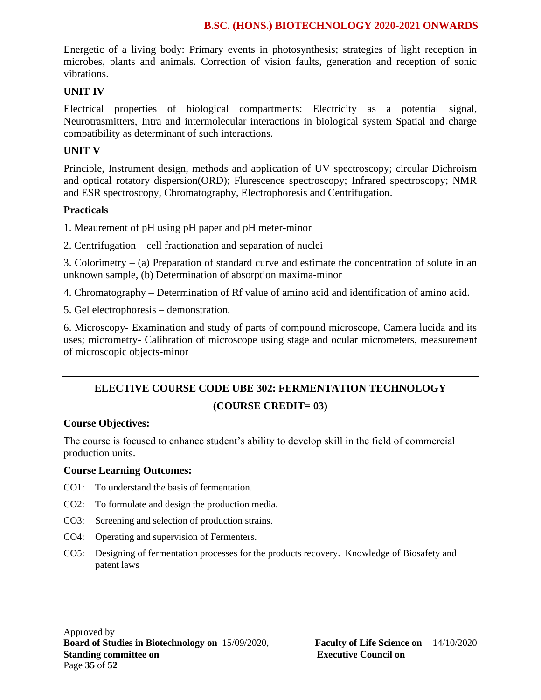Energetic of a living body: Primary events in photosynthesis; strategies of light reception in microbes, plants and animals. Correction of vision faults, generation and reception of sonic vibrations.

#### **UNIT IV**

Electrical properties of biological compartments: Electricity as a potential signal, Neurotrasmitters, Intra and intermolecular interactions in biological system Spatial and charge compatibility as determinant of such interactions.

### **UNIT V**

Principle, Instrument design, methods and application of UV spectroscopy; circular Dichroism and optical rotatory dispersion(ORD); Flurescence spectroscopy; Infrared spectroscopy; NMR and ESR spectroscopy, Chromatography, Electrophoresis and Centrifugation.

### **Practicals**

1. Meaurement of pH using pH paper and pH meter-minor

2. Centrifugation – cell fractionation and separation of nuclei

3. Colorimetry – (a) Preparation of standard curve and estimate the concentration of solute in an unknown sample, (b) Determination of absorption maxima-minor

4. Chromatography – Determination of Rf value of amino acid and identification of amino acid.

5. Gel electrophoresis – demonstration.

6. Microscopy- Examination and study of parts of compound microscope, Camera lucida and its uses; micrometry- Calibration of microscope using stage and ocular micrometers, measurement of microscopic objects-minor

# **ELECTIVE COURSE CODE UBE 302: FERMENTATION TECHNOLOGY (COURSE CREDIT= 03)**

#### **Course Objectives:**

The course is focused to enhance student's ability to develop skill in the field of commercial production units.

#### **Course Learning Outcomes:**

- CO1: To understand the basis of fermentation.
- CO2: To formulate and design the production media.
- CO3: Screening and selection of production strains.
- CO4: Operating and supervision of Fermenters.
- CO5: Designing of fermentation processes for the products recovery. Knowledge of Biosafety and patent laws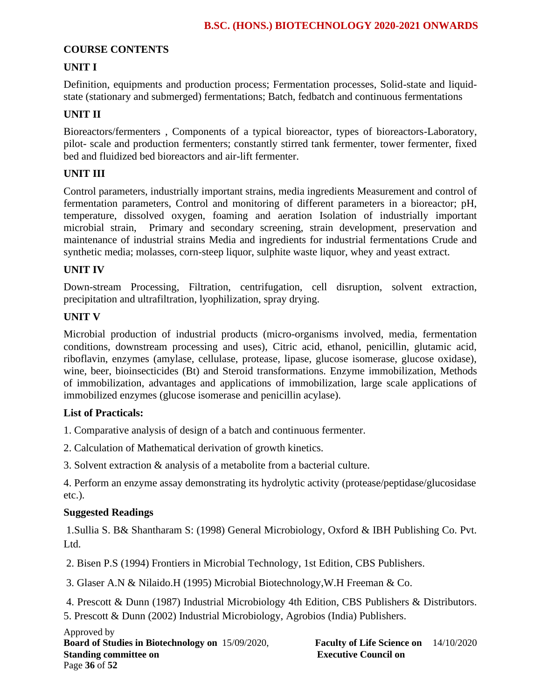# **COURSE CONTENTS**

# **UNIT I**

Definition, equipments and production process; Fermentation processes, Solid-state and liquidstate (stationary and submerged) fermentations; Batch, fedbatch and continuous fermentations

# **UNIT II**

Bioreactors/fermenters , Components of a typical bioreactor, types of bioreactors-Laboratory, pilot- scale and production fermenters; constantly stirred tank fermenter, tower fermenter, fixed bed and fluidized bed bioreactors and air-lift fermenter.

### **UNIT III**

Control parameters, industrially important strains, media ingredients Measurement and control of fermentation parameters, Control and monitoring of different parameters in a bioreactor; pH, temperature, dissolved oxygen, foaming and aeration Isolation of industrially important microbial strain, Primary and secondary screening, strain development, preservation and maintenance of industrial strains Media and ingredients for industrial fermentations Crude and synthetic media; molasses, corn-steep liquor, sulphite waste liquor, whey and yeast extract.

### **UNIT IV**

Down-stream Processing, Filtration, centrifugation, cell disruption, solvent extraction, precipitation and ultrafiltration, lyophilization, spray drying.

# **UNIT V**

Microbial production of industrial products (micro-organisms involved, media, fermentation conditions, downstream processing and uses), Citric acid, ethanol, penicillin, glutamic acid, riboflavin, enzymes (amylase, cellulase, protease, lipase, glucose isomerase, glucose oxidase), wine, beer, bioinsecticides (Bt) and Steroid transformations. Enzyme immobilization, Methods of immobilization, advantages and applications of immobilization, large scale applications of immobilized enzymes (glucose isomerase and penicillin acylase).

# **List of Practicals:**

1. Comparative analysis of design of a batch and continuous fermenter.

2. Calculation of Mathematical derivation of growth kinetics.

3. Solvent extraction & analysis of a metabolite from a bacterial culture.

4. Perform an enzyme assay demonstrating its hydrolytic activity (protease/peptidase/glucosidase etc.).

# **Suggested Readings**

1.Sullia S. B& Shantharam S: (1998) General Microbiology, Oxford & IBH Publishing Co. Pvt. Ltd.

2. Bisen P.S (1994) Frontiers in Microbial Technology, 1st Edition, CBS Publishers.

3. Glaser A.N & Nilaido.H (1995) Microbial Biotechnology,W.H Freeman & Co.

4. Prescott & Dunn (1987) Industrial Microbiology 4th Edition, CBS Publishers & Distributors.

5. Prescott & Dunn (2002) Industrial Microbiology, Agrobios (India) Publishers.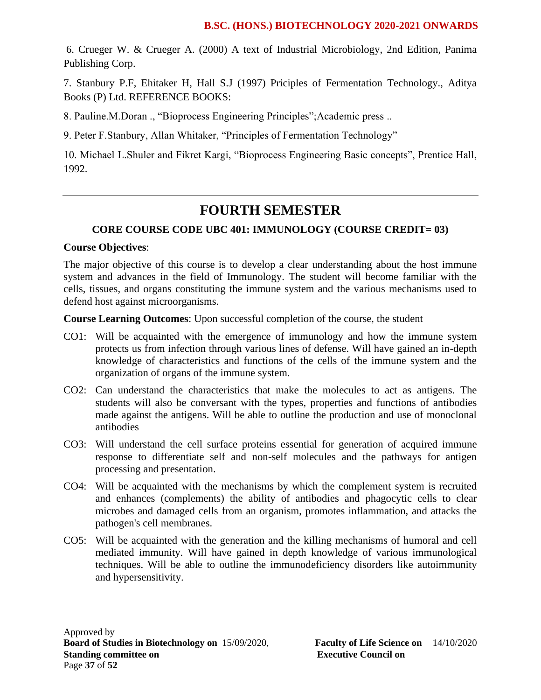6. Crueger W. & Crueger A. (2000) A text of Industrial Microbiology, 2nd Edition, Panima Publishing Corp.

7. Stanbury P.F, Ehitaker H, Hall S.J (1997) Priciples of Fermentation Technology., Aditya Books (P) Ltd. REFERENCE BOOKS:

8. Pauline.M.Doran ., "Bioprocess Engineering Principles";Academic press ..

9. Peter F.Stanbury, Allan Whitaker, "Principles of Fermentation Technology"

10. Michael L.Shuler and Fikret Kargi, "Bioprocess Engineering Basic concepts", Prentice Hall, 1992.

# **FOURTH SEMESTER**

# **CORE COURSE CODE UBC 401: IMMUNOLOGY (COURSE CREDIT= 03)**

### **Course Objectives**:

The major objective of this course is to develop a clear understanding about the host immune system and advances in the field of Immunology. The student will become familiar with the cells, tissues, and organs constituting the immune system and the various mechanisms used to defend host against microorganisms.

**Course Learning Outcomes**: Upon successful completion of the course, the student

- CO1: Will be acquainted with the emergence of immunology and how the immune system protects us from infection through various lines of defense. Will have gained an in-depth knowledge of characteristics and functions of the cells of the immune system and the organization of organs of the immune system.
- CO2: Can understand the characteristics that make the molecules to act as antigens. The students will also be conversant with the types, properties and functions of antibodies made against the antigens. Will be able to outline the production and use of monoclonal antibodies
- CO3: Will understand the cell surface proteins essential for generation of acquired immune response to differentiate self and non-self molecules and the pathways for antigen processing and presentation.
- CO4: Will be acquainted with the mechanisms by which the complement system is recruited and enhances (complements) the ability of antibodies and phagocytic cells to clear microbes and damaged cells from an organism, promotes inflammation, and attacks the pathogen's cell membranes.
- CO5: Will be acquainted with the generation and the killing mechanisms of humoral and cell mediated immunity. Will have gained in depth knowledge of various immunological techniques. Will be able to outline the immunodeficiency disorders like autoimmunity and hypersensitivity.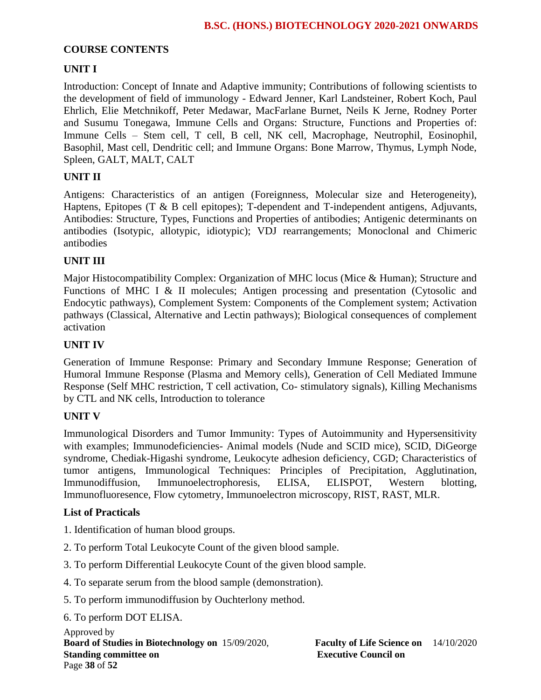## **COURSE CONTENTS**

# **UNIT I**

Introduction: Concept of Innate and Adaptive immunity; Contributions of following scientists to the development of field of immunology - Edward Jenner, Karl Landsteiner, Robert Koch, Paul Ehrlich, Elie Metchnikoff, Peter Medawar, MacFarlane Burnet, Neils K Jerne, Rodney Porter and Susumu Tonegawa, Immune Cells and Organs: Structure, Functions and Properties of: Immune Cells – Stem cell, T cell, B cell, NK cell, Macrophage, Neutrophil, Eosinophil, Basophil, Mast cell, Dendritic cell; and Immune Organs: Bone Marrow, Thymus, Lymph Node, Spleen, GALT, MALT, CALT

# **UNIT II**

Antigens: Characteristics of an antigen (Foreignness, Molecular size and Heterogeneity), Haptens, Epitopes (T & B cell epitopes); T-dependent and T-independent antigens, Adjuvants, Antibodies: Structure, Types, Functions and Properties of antibodies; Antigenic determinants on antibodies (Isotypic, allotypic, idiotypic); VDJ rearrangements; Monoclonal and Chimeric antibodies

# **UNIT III**

Major Histocompatibility Complex: Organization of MHC locus (Mice & Human); Structure and Functions of MHC I & II molecules; Antigen processing and presentation (Cytosolic and Endocytic pathways), Complement System: Components of the Complement system; Activation pathways (Classical, Alternative and Lectin pathways); Biological consequences of complement activation

### **UNIT IV**

Generation of Immune Response: Primary and Secondary Immune Response; Generation of Humoral Immune Response (Plasma and Memory cells), Generation of Cell Mediated Immune Response (Self MHC restriction, T cell activation, Co- stimulatory signals), Killing Mechanisms by CTL and NK cells, Introduction to tolerance

# **UNIT V**

Immunological Disorders and Tumor Immunity: Types of Autoimmunity and Hypersensitivity with examples; Immunodeficiencies- Animal models (Nude and SCID mice), SCID, DiGeorge syndrome, Chediak-Higashi syndrome, Leukocyte adhesion deficiency, CGD; Characteristics of tumor antigens, Immunological Techniques: Principles of Precipitation, Agglutination, Immunodiffusion, Immunoelectrophoresis, ELISA, ELISPOT, Western blotting, Immunofluoresence, Flow cytometry, Immunoelectron microscopy, RIST, RAST, MLR.

#### **List of Practicals**

- 1. Identification of human blood groups.
- 2. To perform Total Leukocyte Count of the given blood sample.
- 3. To perform Differential Leukocyte Count of the given blood sample.
- 4. To separate serum from the blood sample (demonstration).
- 5. To perform immunodiffusion by Ouchterlony method.

#### 6. To perform DOT ELISA.

Approved by **Board of Studies in Biotechnology on** 15/09/2020, **Faculty of Life Science on** 14/10/2020 **Standing committee on Executive Council on Executive Council on** Page **38** of **52**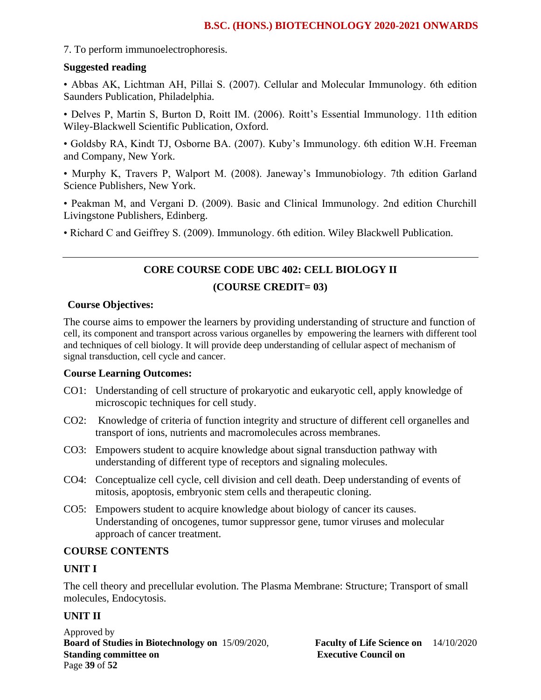7. To perform immunoelectrophoresis.

#### **Suggested reading**

• Abbas AK, Lichtman AH, Pillai S. (2007). Cellular and Molecular Immunology. 6th edition Saunders Publication, Philadelphia.

• Delves P, Martin S, Burton D, Roitt IM. (2006). Roitt's Essential Immunology. 11th edition Wiley-Blackwell Scientific Publication, Oxford.

• Goldsby RA, Kindt TJ, Osborne BA. (2007). Kuby's Immunology. 6th edition W.H. Freeman and Company, New York.

• Murphy K, Travers P, Walport M. (2008). Janeway's Immunobiology. 7th edition Garland Science Publishers, New York.

• Peakman M, and Vergani D. (2009). Basic and Clinical Immunology. 2nd edition Churchill Livingstone Publishers, Edinberg.

• Richard C and Geiffrey S. (2009). Immunology. 6th edition. Wiley Blackwell Publication.

# **CORE COURSE CODE UBC 402: CELL BIOLOGY II (COURSE CREDIT= 03)**

#### **Course Objectives:**

The course aims to empower the learners by providing understanding of structure and function of cell, its component and transport across various organelles by empowering the learners with different tool and techniques of cell biology. It will provide deep understanding of cellular aspect of mechanism of signal transduction, cell cycle and cancer.

#### **Course Learning Outcomes:**

- CO1: Understanding of cell structure of prokaryotic and eukaryotic cell, apply knowledge of microscopic techniques for cell study.
- CO2: Knowledge of criteria of function integrity and structure of different cell organelles and transport of ions, nutrients and macromolecules across membranes.
- CO3: Empowers student to acquire knowledge about signal transduction pathway with understanding of different type of receptors and signaling molecules.
- CO4: Conceptualize cell cycle, cell division and cell death. Deep understanding of events of mitosis, apoptosis, embryonic stem cells and therapeutic cloning.
- CO5: Empowers student to acquire knowledge about biology of cancer its causes. Understanding of oncogenes, tumor suppressor gene, tumor viruses and molecular approach of cancer treatment.

#### **COURSE CONTENTS**

#### **UNIT I**

The cell theory and precellular evolution. The Plasma Membrane: Structure; Transport of small molecules, Endocytosis.

# **UNIT II**

Approved by **Board of Studies in Biotechnology on** 15/09/2020, **Faculty of Life Science on** 14/10/2020 **Standing committee on** <br>**Executive Council on Executive Council on** Page **39** of **52**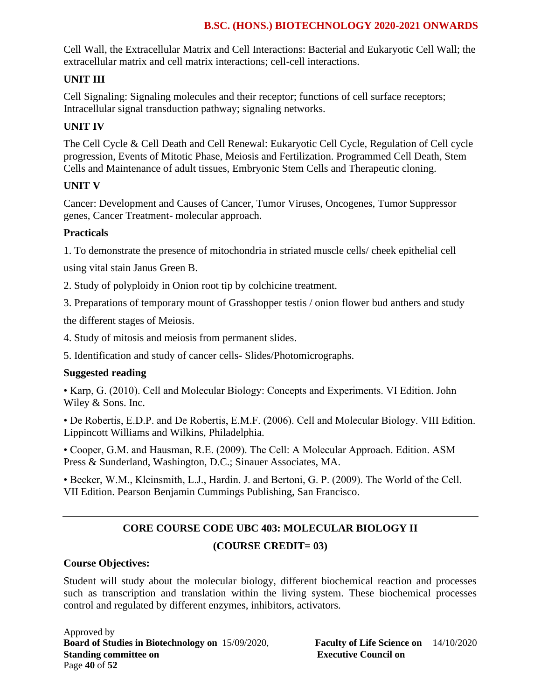Cell Wall, the Extracellular Matrix and Cell Interactions: Bacterial and Eukaryotic Cell Wall; the extracellular matrix and cell matrix interactions; cell-cell interactions.

# **UNIT III**

Cell Signaling: Signaling molecules and their receptor; functions of cell surface receptors; Intracellular signal transduction pathway; signaling networks.

# **UNIT IV**

The Cell Cycle & Cell Death and Cell Renewal: Eukaryotic Cell Cycle, Regulation of Cell cycle progression, Events of Mitotic Phase, Meiosis and Fertilization. Programmed Cell Death, Stem Cells and Maintenance of adult tissues, Embryonic Stem Cells and Therapeutic cloning.

# **UNIT V**

Cancer: Development and Causes of Cancer, Tumor Viruses, Oncogenes, Tumor Suppressor genes, Cancer Treatment- molecular approach.

# **Practicals**

1. To demonstrate the presence of mitochondria in striated muscle cells/ cheek epithelial cell

using vital stain Janus Green B.

2. Study of polyploidy in Onion root tip by colchicine treatment.

3. Preparations of temporary mount of Grasshopper testis / onion flower bud anthers and study

the different stages of Meiosis.

4. Study of mitosis and meiosis from permanent slides.

5. Identification and study of cancer cells- Slides/Photomicrographs.

# **Suggested reading**

• Karp, G. (2010). Cell and Molecular Biology: Concepts and Experiments. VI Edition. John Wiley & Sons. Inc.

• De Robertis, E.D.P. and De Robertis, E.M.F. (2006). Cell and Molecular Biology. VIII Edition. Lippincott Williams and Wilkins, Philadelphia.

• Cooper, G.M. and Hausman, R.E. (2009). The Cell: A Molecular Approach. Edition. ASM Press & Sunderland, Washington, D.C.; Sinauer Associates, MA.

• Becker, W.M., Kleinsmith, L.J., Hardin. J. and Bertoni, G. P. (2009). The World of the Cell. VII Edition. Pearson Benjamin Cummings Publishing, San Francisco.

# **CORE COURSE CODE UBC 403: MOLECULAR BIOLOGY II (COURSE CREDIT= 03)**

# **Course Objectives:**

Student will study about the molecular biology, different biochemical reaction and processes such as transcription and translation within the living system. These biochemical processes control and regulated by different enzymes, inhibitors, activators.

Approved by **Board of Studies in Biotechnology on** 15/09/2020, **Faculty of Life Science on** 14/10/2020 **Standing committee on Executive Council on Executive Council on** Page **40** of **52**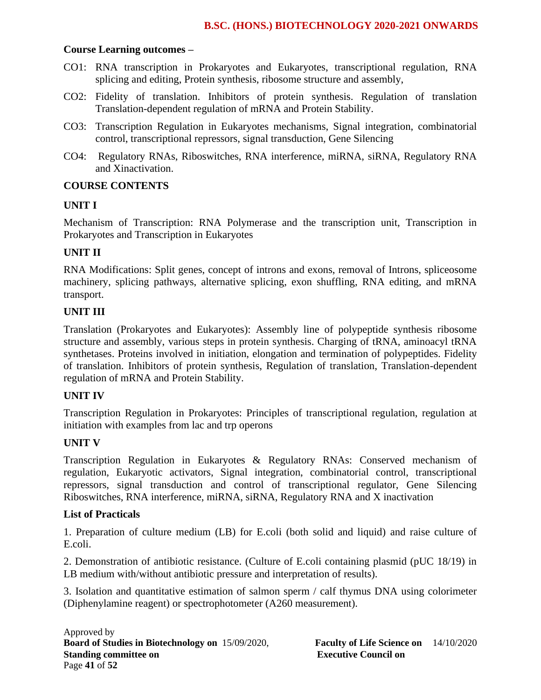#### **Course Learning outcomes –**

- CO1: RNA transcription in Prokaryotes and Eukaryotes, transcriptional regulation, RNA splicing and editing, Protein synthesis, ribosome structure and assembly,
- CO2: Fidelity of translation. Inhibitors of protein synthesis. Regulation of translation Translation-dependent regulation of mRNA and Protein Stability.
- CO3: Transcription Regulation in Eukaryotes mechanisms, Signal integration, combinatorial control, transcriptional repressors, signal transduction, Gene Silencing
- CO4: Regulatory RNAs, Riboswitches, RNA interference, miRNA, siRNA, Regulatory RNA and Xinactivation.

#### **COURSE CONTENTS**

#### **UNIT I**

Mechanism of Transcription: RNA Polymerase and the transcription unit, Transcription in Prokaryotes and Transcription in Eukaryotes

### **UNIT II**

RNA Modifications: Split genes, concept of introns and exons, removal of Introns, spliceosome machinery, splicing pathways, alternative splicing, exon shuffling, RNA editing, and mRNA transport.

### **UNIT III**

Translation (Prokaryotes and Eukaryotes): Assembly line of polypeptide synthesis ribosome structure and assembly, various steps in protein synthesis. Charging of tRNA, aminoacyl tRNA synthetases. Proteins involved in initiation, elongation and termination of polypeptides. Fidelity of translation. Inhibitors of protein synthesis, Regulation of translation, Translation-dependent regulation of mRNA and Protein Stability.

## **UNIT IV**

Transcription Regulation in Prokaryotes: Principles of transcriptional regulation, regulation at initiation with examples from lac and trp operons

#### **UNIT V**

Transcription Regulation in Eukaryotes & Regulatory RNAs: Conserved mechanism of regulation, Eukaryotic activators, Signal integration, combinatorial control, transcriptional repressors, signal transduction and control of transcriptional regulator, Gene Silencing Riboswitches, RNA interference, miRNA, siRNA, Regulatory RNA and X inactivation

#### **List of Practicals**

1. Preparation of culture medium (LB) for E.coli (both solid and liquid) and raise culture of E.coli.

2. Demonstration of antibiotic resistance. (Culture of E.coli containing plasmid (pUC 18/19) in LB medium with/without antibiotic pressure and interpretation of results).

3. Isolation and quantitative estimation of salmon sperm / calf thymus DNA using colorimeter (Diphenylamine reagent) or spectrophotometer (A260 measurement).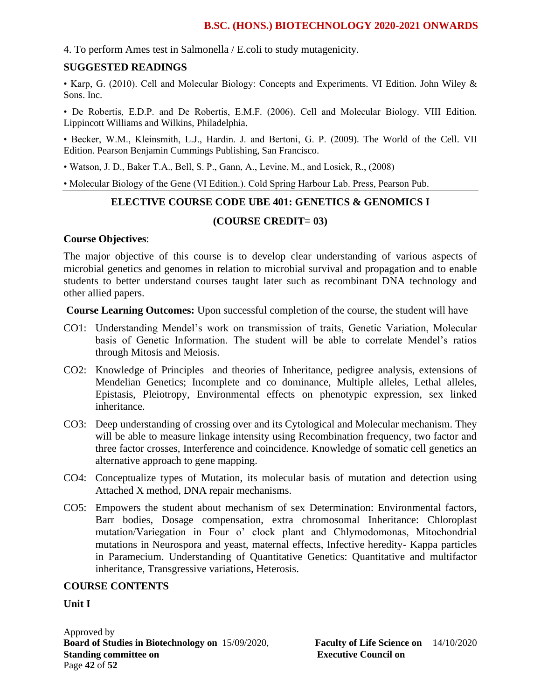4. To perform Ames test in Salmonella / E.coli to study mutagenicity.

#### **SUGGESTED READINGS**

• Karp, G. (2010). Cell and Molecular Biology: Concepts and Experiments. VI Edition. John Wiley & Sons. Inc.

• De Robertis, E.D.P. and De Robertis, E.M.F. (2006). Cell and Molecular Biology. VIII Edition. Lippincott Williams and Wilkins, Philadelphia.

• Becker, W.M., Kleinsmith, L.J., Hardin. J. and Bertoni, G. P. (2009). The World of the Cell. VII Edition. Pearson Benjamin Cummings Publishing, San Francisco.

• Watson, J. D., Baker T.A., Bell, S. P., Gann, A., Levine, M., and Losick, R., (2008)

• Molecular Biology of the Gene (VI Edition.). Cold Spring Harbour Lab. Press, Pearson Pub.

# **ELECTIVE COURSE CODE UBE 401: GENETICS & GENOMICS I**

#### **(COURSE CREDIT= 03)**

#### **Course Objectives**:

The major objective of this course is to develop clear understanding of various aspects of microbial genetics and genomes in relation to microbial survival and propagation and to enable students to better understand courses taught later such as recombinant DNA technology and other allied papers.

**Course Learning Outcomes:** Upon successful completion of the course, the student will have

- CO1: Understanding Mendel's work on transmission of traits, Genetic Variation, Molecular basis of Genetic Information. The student will be able to correlate Mendel's ratios through Mitosis and Meiosis.
- CO2: Knowledge of Principles and theories of Inheritance, pedigree analysis, extensions of Mendelian Genetics; Incomplete and co dominance, Multiple alleles, Lethal alleles, Epistasis, Pleiotropy, Environmental effects on phenotypic expression, sex linked inheritance.
- CO3: Deep understanding of crossing over and its Cytological and Molecular mechanism. They will be able to measure linkage intensity using Recombination frequency, two factor and three factor crosses, Interference and coincidence. Knowledge of somatic cell genetics an alternative approach to gene mapping.
- CO4: Conceptualize types of Mutation, its molecular basis of mutation and detection using Attached X method, DNA repair mechanisms.
- CO5: Empowers the student about mechanism of sex Determination: Environmental factors, Barr bodies, Dosage compensation, extra chromosomal Inheritance: Chloroplast mutation/Variegation in Four o' clock plant and Chlymodomonas, Mitochondrial mutations in Neurospora and yeast, maternal effects, Infective heredity- Kappa particles in Paramecium. Understanding of Quantitative Genetics: Quantitative and multifactor inheritance, Transgressive variations, Heterosis.

#### **COURSE CONTENTS**

**Unit I**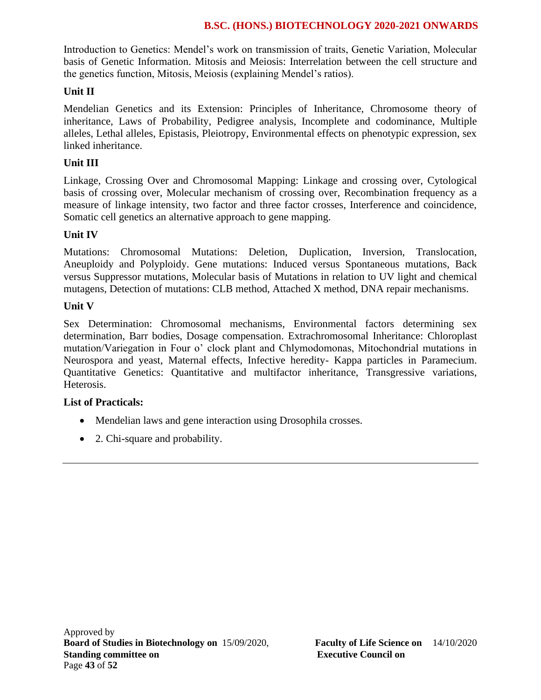Introduction to Genetics: Mendel's work on transmission of traits, Genetic Variation, Molecular basis of Genetic Information. Mitosis and Meiosis: Interrelation between the cell structure and the genetics function, Mitosis, Meiosis (explaining Mendel's ratios).

# **Unit II**

Mendelian Genetics and its Extension: Principles of Inheritance, Chromosome theory of inheritance, Laws of Probability, Pedigree analysis, Incomplete and codominance, Multiple alleles, Lethal alleles, Epistasis, Pleiotropy, Environmental effects on phenotypic expression, sex linked inheritance.

# **Unit III**

Linkage, Crossing Over and Chromosomal Mapping: Linkage and crossing over, Cytological basis of crossing over, Molecular mechanism of crossing over, Recombination frequency as a measure of linkage intensity, two factor and three factor crosses, Interference and coincidence, Somatic cell genetics an alternative approach to gene mapping.

# **Unit IV**

Mutations: Chromosomal Mutations: Deletion, Duplication, Inversion, Translocation, Aneuploidy and Polyploidy. Gene mutations: Induced versus Spontaneous mutations, Back versus Suppressor mutations, Molecular basis of Mutations in relation to UV light and chemical mutagens, Detection of mutations: CLB method, Attached X method, DNA repair mechanisms.

# **Unit V**

Sex Determination: Chromosomal mechanisms, Environmental factors determining sex determination, Barr bodies, Dosage compensation. Extrachromosomal Inheritance: Chloroplast mutation/Variegation in Four o' clock plant and Chlymodomonas, Mitochondrial mutations in Neurospora and yeast, Maternal effects, Infective heredity- Kappa particles in Paramecium. Quantitative Genetics: Quantitative and multifactor inheritance, Transgressive variations, Heterosis.

# **List of Practicals:**

- Mendelian laws and gene interaction using Drosophila crosses.
- 2. Chi-square and probability.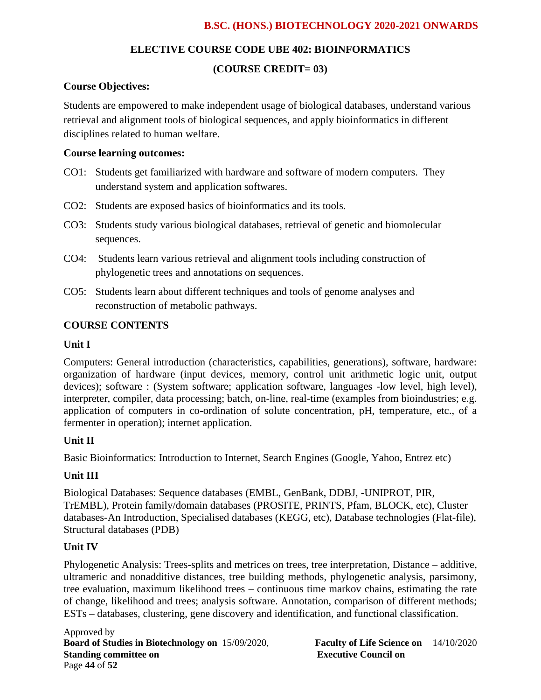# **ELECTIVE COURSE CODE UBE 402: BIOINFORMATICS**

# **(COURSE CREDIT= 03)**

# **Course Objectives:**

Students are empowered to make independent usage of biological databases, understand various retrieval and alignment tools of biological sequences, and apply bioinformatics in different disciplines related to human welfare.

### **Course learning outcomes:**

- CO1: Students get familiarized with hardware and software of modern computers. They understand system and application softwares.
- CO2: Students are exposed basics of bioinformatics and its tools.
- CO3: Students study various biological databases, retrieval of genetic and biomolecular sequences.
- CO4: Students learn various retrieval and alignment tools including construction of phylogenetic trees and annotations on sequences.
- CO5: Students learn about different techniques and tools of genome analyses and reconstruction of metabolic pathways.

# **COURSE CONTENTS**

### **Unit I**

Computers: General introduction (characteristics, capabilities, generations), software, hardware: organization of hardware (input devices, memory, control unit arithmetic logic unit, output devices); software : (System software; application software, languages -low level, high level), interpreter, compiler, data processing; batch, on-line, real-time (examples from bioindustries; e.g. application of computers in co-ordination of solute concentration, pH, temperature, etc., of a fermenter in operation); internet application.

# **Unit II**

Basic Bioinformatics: Introduction to Internet, Search Engines (Google, Yahoo, Entrez etc)

# **Unit III**

Biological Databases: Sequence databases (EMBL, GenBank, DDBJ, -UNIPROT, PIR, TrEMBL), Protein family/domain databases (PROSITE, PRINTS, Pfam, BLOCK, etc), Cluster databases-An Introduction, Specialised databases (KEGG, etc), Database technologies (Flat-file), Structural databases (PDB)

# **Unit IV**

Phylogenetic Analysis: Trees-splits and metrices on trees, tree interpretation, Distance – additive, ultrameric and nonadditive distances, tree building methods, phylogenetic analysis, parsimony, tree evaluation, maximum likelihood trees – continuous time markov chains, estimating the rate of change, likelihood and trees; analysis software. Annotation, comparison of different methods; ESTs – databases, clustering, gene discovery and identification, and functional classification.

Approved by **Board of Studies in Biotechnology on** 15/09/2020, **Faculty of Life Science on** 14/10/2020 **Standing committee on Executive Council on Executive Council on** Page **44** of **52**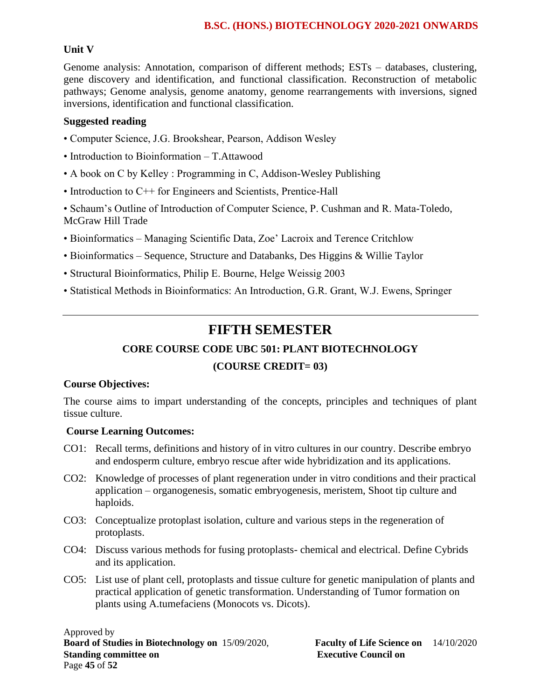# **Unit V**

Genome analysis: Annotation, comparison of different methods; ESTs – databases, clustering, gene discovery and identification, and functional classification. Reconstruction of metabolic pathways; Genome analysis, genome anatomy, genome rearrangements with inversions, signed inversions, identification and functional classification.

### **Suggested reading**

- Computer Science, J.G. Brookshear, Pearson, Addison Wesley
- Introduction to Bioinformation T.Attawood
- A book on C by Kelley : Programming in C, Addison-Wesley Publishing
- Introduction to C++ for Engineers and Scientists, Prentice-Hall

• Schaum's Outline of Introduction of Computer Science, P. Cushman and R. Mata-Toledo, McGraw Hill Trade

- Bioinformatics Managing Scientific Data, Zoe' Lacroix and Terence Critchlow
- Bioinformatics Sequence, Structure and Databanks, Des Higgins & Willie Taylor
- Structural Bioinformatics, Philip E. Bourne, Helge Weissig 2003
- Statistical Methods in Bioinformatics: An Introduction, G.R. Grant, W.J. Ewens, Springer

# **FIFTH SEMESTER**

# **CORE COURSE CODE UBC 501: PLANT BIOTECHNOLOGY**

# **(COURSE CREDIT= 03)**

#### **Course Objectives:**

The course aims to impart understanding of the concepts, principles and techniques of plant tissue culture.

#### **Course Learning Outcomes:**

- CO1: Recall terms, definitions and history of in vitro cultures in our country. Describe embryo and endosperm culture, embryo rescue after wide hybridization and its applications.
- CO2: Knowledge of processes of plant regeneration under in vitro conditions and their practical application – organogenesis, somatic embryogenesis, meristem, Shoot tip culture and haploids.
- CO3: Conceptualize protoplast isolation, culture and various steps in the regeneration of protoplasts.
- CO4: Discuss various methods for fusing protoplasts- chemical and electrical. Define Cybrids and its application.
- CO5: List use of plant cell, protoplasts and tissue culture for genetic manipulation of plants and practical application of genetic transformation. Understanding of Tumor formation on plants using A.tumefaciens (Monocots vs. Dicots).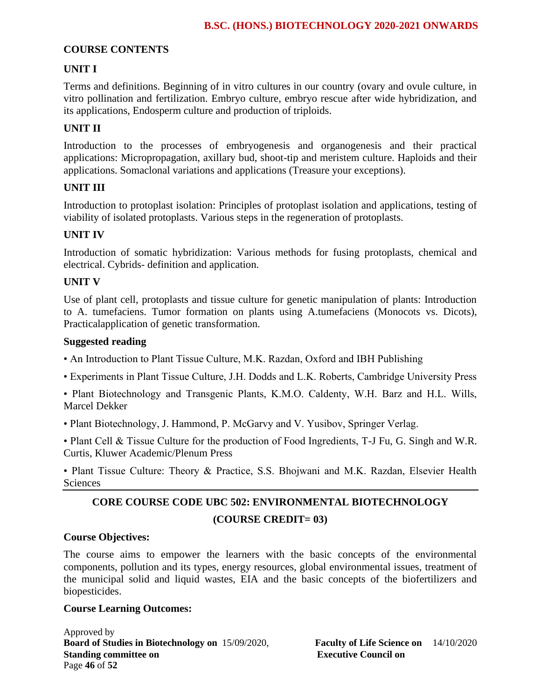# **COURSE CONTENTS**

### **UNIT I**

Terms and definitions. Beginning of in vitro cultures in our country (ovary and ovule culture, in vitro pollination and fertilization. Embryo culture, embryo rescue after wide hybridization, and its applications, Endosperm culture and production of triploids.

# **UNIT II**

Introduction to the processes of embryogenesis and organogenesis and their practical applications: Micropropagation, axillary bud, shoot-tip and meristem culture. Haploids and their applications. Somaclonal variations and applications (Treasure your exceptions).

#### **UNIT III**

Introduction to protoplast isolation: Principles of protoplast isolation and applications, testing of viability of isolated protoplasts. Various steps in the regeneration of protoplasts.

#### **UNIT IV**

Introduction of somatic hybridization: Various methods for fusing protoplasts, chemical and electrical. Cybrids- definition and application.

#### **UNIT V**

Use of plant cell, protoplasts and tissue culture for genetic manipulation of plants: Introduction to A. tumefaciens. Tumor formation on plants using A.tumefaciens (Monocots vs. Dicots), Practicalapplication of genetic transformation.

#### **Suggested reading**

- An Introduction to Plant Tissue Culture, M.K. Razdan, Oxford and IBH Publishing
- Experiments in Plant Tissue Culture, J.H. Dodds and L.K. Roberts, Cambridge University Press

• Plant Biotechnology and Transgenic Plants, K.M.O. Caldenty, W.H. Barz and H.L. Wills, Marcel Dekker

• Plant Biotechnology, J. Hammond, P. McGarvy and V. Yusibov, Springer Verlag.

• Plant Cell & Tissue Culture for the production of Food Ingredients, T-J Fu, G. Singh and W.R. Curtis, Kluwer Academic/Plenum Press

• Plant Tissue Culture: Theory & Practice, S.S. Bhojwani and M.K. Razdan, Elsevier Health **Sciences** 

# **CORE COURSE CODE UBC 502: ENVIRONMENTAL BIOTECHNOLOGY (COURSE CREDIT= 03)**

#### **Course Objectives:**

The course aims to empower the learners with the basic concepts of the environmental components, pollution and its types, energy resources, global environmental issues, treatment of the municipal solid and liquid wastes, EIA and the basic concepts of the biofertilizers and biopesticides.

#### **Course Learning Outcomes:**

Approved by **Board of Studies in Biotechnology on** 15/09/2020, **Faculty of Life Science on** 14/10/2020 **Standing committee on** <br>**Executive Council on Executive Council on** Page **46** of **52**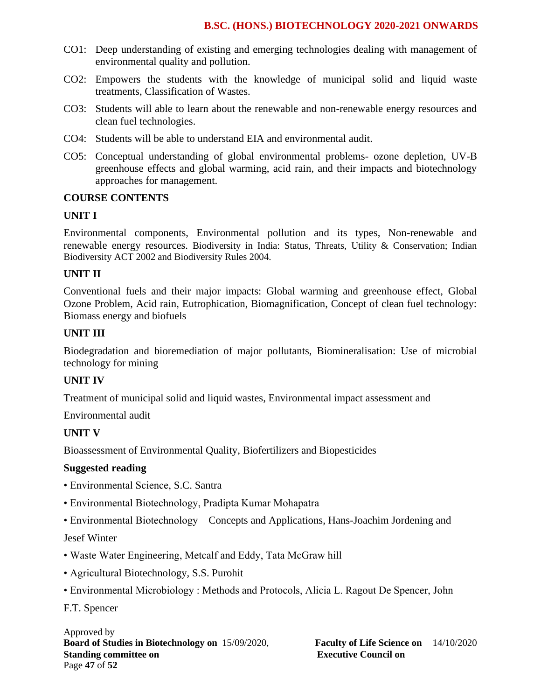- CO1: Deep understanding of existing and emerging technologies dealing with management of environmental quality and pollution.
- CO2: Empowers the students with the knowledge of municipal solid and liquid waste treatments, Classification of Wastes.
- CO3: Students will able to learn about the renewable and non-renewable energy resources and clean fuel technologies.
- CO4: Students will be able to understand EIA and environmental audit.
- CO5: Conceptual understanding of global environmental problems- ozone depletion, UV-B greenhouse effects and global warming, acid rain, and their impacts and biotechnology approaches for management.

#### **COURSE CONTENTS**

#### **UNIT I**

Environmental components, Environmental pollution and its types, Non-renewable and renewable energy resources. Biodiversity in India: Status, Threats, Utility & Conservation; Indian Biodiversity ACT 2002 and Biodiversity Rules 2004.

#### **UNIT II**

Conventional fuels and their major impacts: Global warming and greenhouse effect, Global Ozone Problem, Acid rain, Eutrophication, Biomagnification, Concept of clean fuel technology: Biomass energy and biofuels

#### **UNIT III**

Biodegradation and bioremediation of major pollutants, Biomineralisation: Use of microbial technology for mining

#### **UNIT IV**

Treatment of municipal solid and liquid wastes, Environmental impact assessment and

Environmental audit

#### **UNIT V**

Bioassessment of Environmental Quality, Biofertilizers and Biopesticides

#### **Suggested reading**

- Environmental Science, S.C. Santra
- Environmental Biotechnology, Pradipta Kumar Mohapatra
- Environmental Biotechnology Concepts and Applications, Hans-Joachim Jordening and

#### Jesef Winter

- Waste Water Engineering, Metcalf and Eddy, Tata McGraw hill
- Agricultural Biotechnology, S.S. Purohit
- Environmental Microbiology : Methods and Protocols, Alicia L. Ragout De Spencer, John

F.T. Spencer

#### Approved by **Board of Studies in Biotechnology on** 15/09/2020, **Faculty of Life Science on** 14/10/2020 **Standing committee on Executive Council on Executive Council on** Page **47** of **52**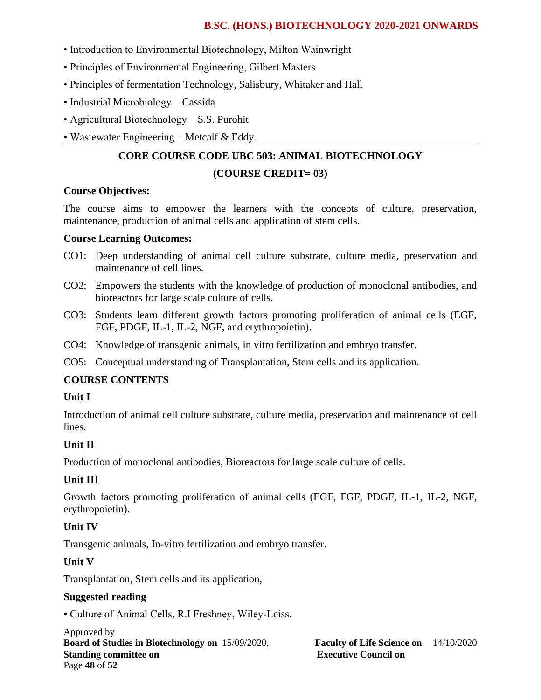- Introduction to Environmental Biotechnology, Milton Wainwright
- Principles of Environmental Engineering, Gilbert Masters
- Principles of fermentation Technology, Salisbury, Whitaker and Hall
- Industrial Microbiology Cassida
- Agricultural Biotechnology S.S. Purohit
- Wastewater Engineering Metcalf & Eddy.

# **CORE COURSE CODE UBC 503: ANIMAL BIOTECHNOLOGY (COURSE CREDIT= 03)**

#### **Course Objectives:**

The course aims to empower the learners with the concepts of culture, preservation, maintenance, production of animal cells and application of stem cells.

#### **Course Learning Outcomes:**

- CO1: Deep understanding of animal cell culture substrate, culture media, preservation and maintenance of cell lines.
- CO2: Empowers the students with the knowledge of production of monoclonal antibodies, and bioreactors for large scale culture of cells.
- CO3: Students learn different growth factors promoting proliferation of animal cells (EGF, FGF, PDGF, IL-1, IL-2, NGF, and erythropoietin).
- CO4: Knowledge of transgenic animals, in vitro fertilization and embryo transfer.
- CO5: Conceptual understanding of Transplantation, Stem cells and its application.

#### **COURSE CONTENTS**

#### **Unit I**

Introduction of animal cell culture substrate, culture media, preservation and maintenance of cell lines.

# **Unit II**

Production of monoclonal antibodies, Bioreactors for large scale culture of cells.

#### **Unit III**

Growth factors promoting proliferation of animal cells (EGF, FGF, PDGF, IL-1, IL-2, NGF, erythropoietin).

#### **Unit IV**

Transgenic animals, In-vitro fertilization and embryo transfer.

# **Unit V**

Transplantation, Stem cells and its application,

#### **Suggested reading**

• Culture of Animal Cells, R.I Freshney, Wiley-Leiss.

Approved by **Board of Studies in Biotechnology on** 15/09/2020, **Faculty of Life Science on** 14/10/2020 **Standing committee on** <br>**Executive Council on Executive Council on** Page **48** of **52**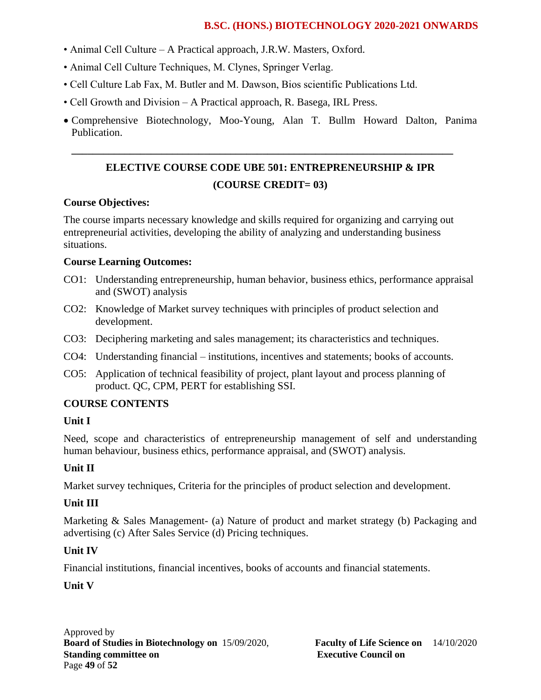- Animal Cell Culture A Practical approach, J.R.W. Masters, Oxford.
- Animal Cell Culture Techniques, M. Clynes, Springer Verlag.
- Cell Culture Lab Fax, M. Butler and M. Dawson, Bios scientific Publications Ltd.
- Cell Growth and Division A Practical approach, R. Basega, IRL Press.
- Comprehensive Biotechnology, Moo-Young, Alan T. Bullm Howard Dalton, Panima Publication.

# **ELECTIVE COURSE CODE UBE 501: ENTREPRENEURSHIP & IPR (COURSE CREDIT= 03)**

**\_\_\_\_\_\_\_\_\_\_\_\_\_\_\_\_\_\_\_\_\_\_\_\_\_\_\_\_\_\_\_\_\_\_\_\_\_\_\_\_\_\_\_\_\_\_\_\_\_\_\_\_\_\_\_\_\_\_\_\_\_\_\_\_\_\_\_\_\_\_\_\_**

### **Course Objectives:**

The course imparts necessary knowledge and skills required for organizing and carrying out entrepreneurial activities, developing the ability of analyzing and understanding business situations.

### **Course Learning Outcomes:**

- CO1: Understanding entrepreneurship, human behavior, business ethics, performance appraisal and (SWOT) analysis
- CO2: Knowledge of Market survey techniques with principles of product selection and development.
- CO3: Deciphering marketing and sales management; its characteristics and techniques.
- CO4: Understanding financial institutions, incentives and statements; books of accounts.
- CO5: Application of technical feasibility of project, plant layout and process planning of product. QC, CPM, PERT for establishing SSI.

# **COURSE CONTENTS**

# **Unit I**

Need, scope and characteristics of entrepreneurship management of self and understanding human behaviour, business ethics, performance appraisal, and (SWOT) analysis.

# **Unit II**

Market survey techniques, Criteria for the principles of product selection and development.

# **Unit III**

Marketing & Sales Management- (a) Nature of product and market strategy (b) Packaging and advertising (c) After Sales Service (d) Pricing techniques.

# **Unit IV**

Financial institutions, financial incentives, books of accounts and financial statements.

# **Unit V**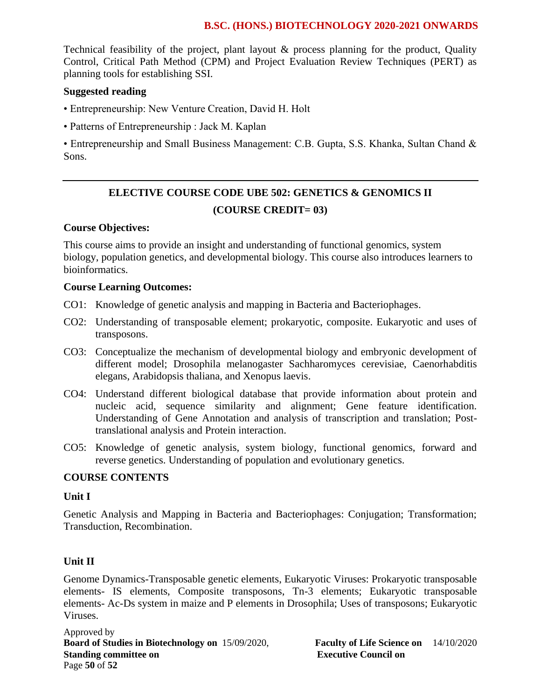Technical feasibility of the project, plant layout & process planning for the product, Quality Control, Critical Path Method (CPM) and Project Evaluation Review Techniques (PERT) as planning tools for establishing SSI.

#### **Suggested reading**

- Entrepreneurship: New Venture Creation, David H. Holt
- Patterns of Entrepreneurship : Jack M. Kaplan

• Entrepreneurship and Small Business Management: C.B. Gupta, S.S. Khanka, Sultan Chand & Sons.

# **ELECTIVE COURSE CODE UBE 502: GENETICS & GENOMICS II (COURSE CREDIT= 03)**

### **Course Objectives:**

This course aims to provide an insight and understanding of functional genomics, system biology, population genetics, and developmental biology. This course also introduces learners to bioinformatics.

#### **Course Learning Outcomes:**

- CO1: Knowledge of genetic analysis and mapping in Bacteria and Bacteriophages.
- CO2: Understanding of transposable element; prokaryotic, composite. Eukaryotic and uses of transposons.
- CO3: Conceptualize the mechanism of developmental biology and embryonic development of different model; Drosophila melanogaster Sachharomyces cerevisiae, Caenorhabditis elegans, Arabidopsis thaliana, and Xenopus laevis.
- CO4: Understand different biological database that provide information about protein and nucleic acid, sequence similarity and alignment; Gene feature identification. Understanding of Gene Annotation and analysis of transcription and translation; Posttranslational analysis and Protein interaction.
- CO5: Knowledge of genetic analysis, system biology, functional genomics, forward and reverse genetics. Understanding of population and evolutionary genetics.

#### **COURSE CONTENTS**

#### **Unit I**

Genetic Analysis and Mapping in Bacteria and Bacteriophages: Conjugation; Transformation; Transduction, Recombination.

# **Unit II**

Genome Dynamics-Transposable genetic elements, Eukaryotic Viruses: Prokaryotic transposable elements- IS elements, Composite transposons, Tn-3 elements; Eukaryotic transposable elements- Ac-Ds system in maize and P elements in Drosophila; Uses of transposons; Eukaryotic Viruses.

Approved by **Board of Studies in Biotechnology on** 15/09/2020, **Faculty of Life Science on** 14/10/2020 **Standing committee on Executive Council on Executive Council on** Page **50** of **52**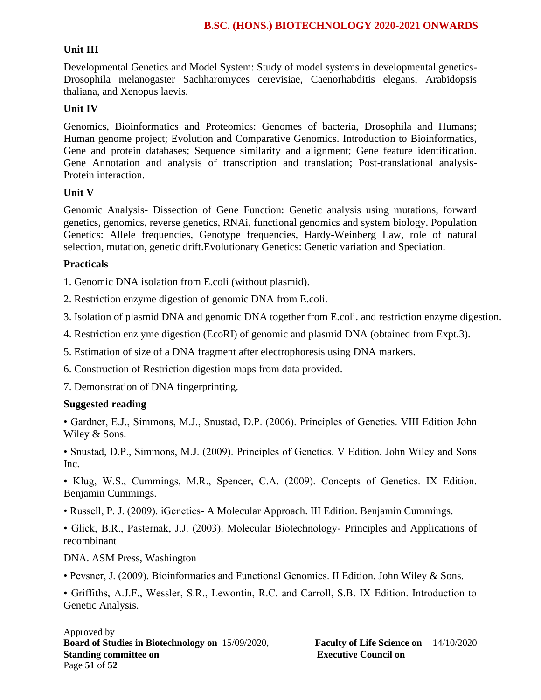#### **Unit III**

Developmental Genetics and Model System: Study of model systems in developmental genetics-Drosophila melanogaster Sachharomyces cerevisiae, Caenorhabditis elegans, Arabidopsis thaliana, and Xenopus laevis.

#### **Unit IV**

Genomics, Bioinformatics and Proteomics: Genomes of bacteria, Drosophila and Humans; Human genome project; Evolution and Comparative Genomics. Introduction to Bioinformatics, Gene and protein databases; Sequence similarity and alignment; Gene feature identification. Gene Annotation and analysis of transcription and translation; Post-translational analysis-Protein interaction.

#### **Unit V**

Genomic Analysis- Dissection of Gene Function: Genetic analysis using mutations, forward genetics, genomics, reverse genetics, RNAi, functional genomics and system biology. Population Genetics: Allele frequencies, Genotype frequencies, Hardy-Weinberg Law, role of natural selection, mutation, genetic drift.Evolutionary Genetics: Genetic variation and Speciation.

#### **Practicals**

1. Genomic DNA isolation from E.coli (without plasmid).

2. Restriction enzyme digestion of genomic DNA from E.coli.

3. Isolation of plasmid DNA and genomic DNA together from E.coli. and restriction enzyme digestion.

4. Restriction enz yme digestion (EcoRI) of genomic and plasmid DNA (obtained from Expt.3).

5. Estimation of size of a DNA fragment after electrophoresis using DNA markers.

6. Construction of Restriction digestion maps from data provided.

7. Demonstration of DNA fingerprinting.

#### **Suggested reading**

• Gardner, E.J., Simmons, M.J., Snustad, D.P. (2006). Principles of Genetics. VIII Edition John Wiley & Sons.

• Snustad, D.P., Simmons, M.J. (2009). Principles of Genetics. V Edition. John Wiley and Sons Inc.

• Klug, W.S., Cummings, M.R., Spencer, C.A. (2009). Concepts of Genetics. IX Edition. Benjamin Cummings.

• Russell, P. J. (2009). iGenetics- A Molecular Approach. III Edition. Benjamin Cummings.

• Glick, B.R., Pasternak, J.J. (2003). Molecular Biotechnology- Principles and Applications of recombinant

#### DNA. ASM Press, Washington

• Pevsner, J. (2009). Bioinformatics and Functional Genomics. II Edition. John Wiley & Sons.

• Griffiths, A.J.F., Wessler, S.R., Lewontin, R.C. and Carroll, S.B. IX Edition. Introduction to Genetic Analysis.

#### Approved by **Board of Studies in Biotechnology on** 15/09/2020, **Faculty of Life Science on** 14/10/2020 **Standing committee on** <br>**Executive Council on Executive Council on** Page **51** of **52**